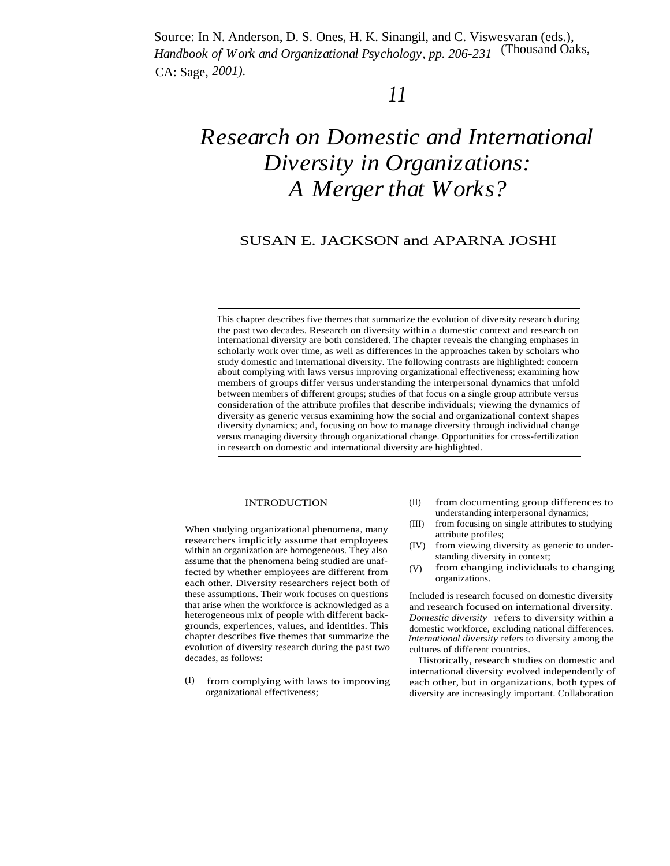Source: In N. Anderson, D. S. Ones, H. K. Sinangil, and C. Viswesvaran (eds.),<br>Handbook of Work and Organizational Psychology, pp. 206-231 (Thousand Oaks, Handbook of Work and Organizational Psychology, pp. 206-231 CA: Sage, *2001).*

## *11*

# *Research on Domestic and International Diversity in Organizations: A Merger that Works?*

## SUSAN E. JACKSON and APARNA JOSHI

This chapter describes five themes that summarize the evolution of diversity research during the past two decades. Research on diversity within a domestic context and research on international diversity are both considered. The chapter reveals the changing emphases in scholarly work over time, as well as differences in the approaches taken by scholars who study domestic and international diversity. The following contrasts are highlighted: concern about complying with laws versus improving organizational effectiveness; examining how members of groups differ versus understanding the interpersonal dynamics that unfold between members of different groups; studies of that focus on a single group attribute versus consideration of the attribute profiles that describe individuals; viewing the dynamics of diversity as generic versus examining how the social and organizational context shapes diversity dynamics; and, focusing on how to manage diversity through individual change versus managing diversity through organizational change. Opportunities for cross-fertilization in research on domestic and international diversity are highlighted.

#### INTRODUCTION

When studying organizational phenomena, many researchers implicitly assume that employees within an organization are homogeneous. They also assume that the phenomena being studied are unaffected by whether employees are different from each other. Diversity researchers reject both of these assumptions. Their work focuses on questions that arise when the workforce is acknowledged as a heterogeneous mix of people with different backgrounds, experiences, values, and identities. This chapter describes five themes that summarize the evolution of diversity research during the past two decades, as follows:

(I) from complying with laws to improving organizational effectiveness;

- (II) from documenting group differences to understanding interpersonal dynamics;
- (III) from focusing on single attributes to studying attribute profiles;
- (IV) from viewing diversity as generic to understanding diversity in context;
- from changing individuals to changing organizations. (V)

Included is research focused on domestic diversity and research focused on international diversity. *Domestic diversity* refers to diversity within a domestic workforce, excluding national differences. *International diversity* refers to diversity among the cultures of different countries.

Historically, research studies on domestic and international diversity evolved independently of each other, but in organizations, both types of diversity are increasingly important. Collaboration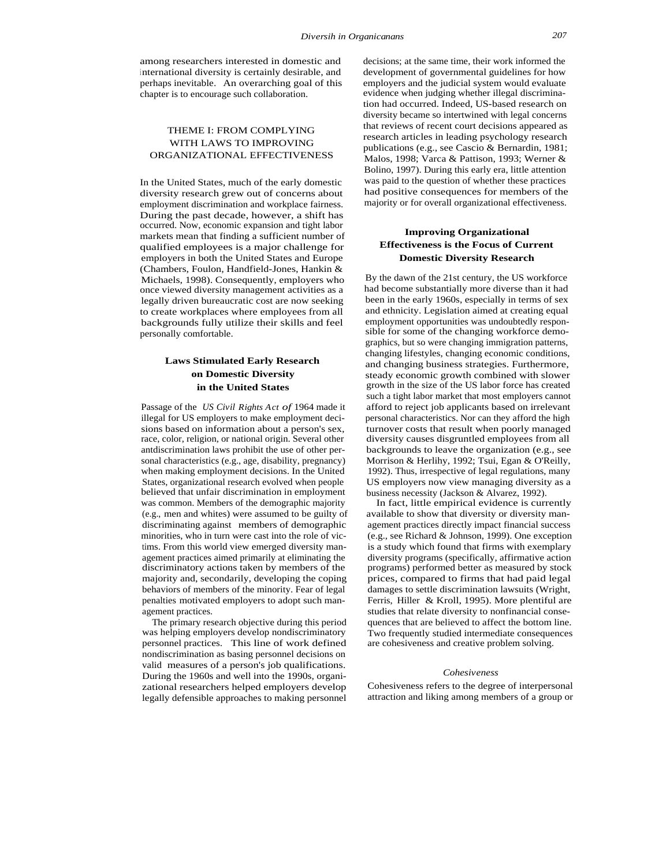## THEME I: FROM COMPLYING WITH LAWS TO IMPROVING ORGANIZATIONAL EFFECTIVENESS

In the United States, much of the early domestic diversity research grew out of concerns about employment discrimination and workplace fairness. During the past decade, however, a shift has occurred. Now, economic expansion and tight labor markets mean that finding a sufficient number of qualified employees is a major challenge for employers in both the United States and Europe (Chambers, Foulon, Handfield-Jones, Hankin & Michaels, 1998). Consequently, employers who once viewed diversity management activities as a legally driven bureaucratic cost are now seeking to create workplaces where employees from all backgrounds fully utilize their skills and feel personally comfortable.

## **Laws Stimulated Early Research on Domestic Diversity in the United States**

Passage of the *US Civil Rights Act of* 1964 made it illegal for US employers to make employment decisions based on information about a person's sex, race, color, religion, or national origin. Several other antdiscrimination laws prohibit the use of other personal characteristics (e.g., age, disability, pregnancy) when making employment decisions. In the United States, organizational research evolved when people believed that unfair discrimination in employment was common. Members of the demographic majority (e.g., men and whites) were assumed to be guilty of discriminating against members of demographic minorities, who in turn were cast into the role of victims. From this world view emerged diversity management practices aimed primarily at eliminating the discriminatory actions taken by members of the majority and, secondarily, developing the coping behaviors of members of the minority. Fear of legal penalties motivated employers to adopt such management practices.

The primary research objective during this period was helping employers develop nondiscriminatory personnel practices. This line of work defined nondiscrimination as basing personnel decisions on valid measures of a person's job qualifications. During the 1960s and well into the 1990s, organizational researchers helped employers develop legally defensible approaches to making personnel decisions; at the same time, their work informed the development of governmental guidelines for how employers and the judicial system would evaluate evidence when judging whether illegal discrimination had occurred. Indeed, US-based research on diversity became so intertwined with legal concerns that reviews of recent court decisions appeared as research articles in leading psychology research publications (e.g., see Cascio & Bernardin, 1981; Malos, 1998; Varca & Pattison, 1993; Werner & Bolino, 1997). During this early era, little attention was paid to the question of whether these practices had positive consequences for members of the majority or for overall organizational effectiveness.

## **Improving Organizational Effectiveness is the Focus of Current Domestic Diversity Research**

By the dawn of the 21st century, the US workforce had become substantially more diverse than it had been in the early 1960s, especially in terms of sex and ethnicity. Legislation aimed at creating equal employment opportunities was undoubtedly responsible for some of the changing workforce demographics, but so were changing immigration patterns, changing lifestyles, changing economic conditions, and changing business strategies. Furthermore, steady economic growth combined with slower growth in the size of the US labor force has created such a tight labor market that most employers cannot afford to reject job applicants based on irrelevant personal characteristics. Nor can they afford the high turnover costs that result when poorly managed diversity causes disgruntled employees from all backgrounds to leave the organization (e.g., see Morrison & Herlihy, 1992; Tsui, Egan & O'Reilly, 1992). Thus, irrespective of legal regulations, many US employers now view managing diversity as a business necessity (Jackson & Alvarez, 1992).

In fact, little empirical evidence is currently available to show that diversity or diversity management practices directly impact financial success (e.g., see Richard & Johnson, 1999). One exception is a study which found that firms with exemplary diversity programs (specifically, affirmative action programs) performed better as measured by stock prices, compared to firms that had paid legal damages to settle discrimination lawsuits (Wright, Ferris, Hiller & Kroll, 1995). More plentiful are studies that relate diversity to nonfinancial consequences that are believed to affect the bottom line. Two frequently studied intermediate consequences are cohesiveness and creative problem solving.

#### *Cohesiveness*

Cohesiveness refers to the degree of interpersonal attraction and liking among members of a group or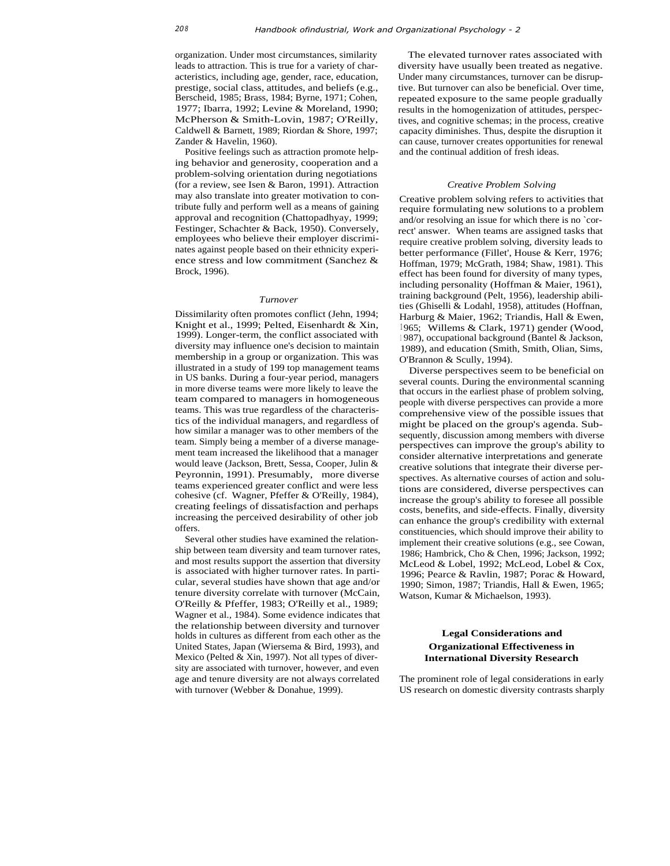organization. Under most circumstances, similarity leads to attraction. This is true for a variety of characteristics, including age, gender, race, education, prestige, social class, attitudes, and beliefs (e.g., Berscheid, 1985; Brass, 1984; Byrne, 1971; Cohen, 1977; Ibarra, 1992; Levine & Moreland, 1990; McPherson & Smith-Lovin, 1987; O'Reilly, Caldwell & Barnett, 1989; Riordan & Shore, 1997; Zander & Havelin, 1960).

Positive feelings such as attraction promote helping behavior and generosity, cooperation and a problem-solving orientation during negotiations (for a review, see Isen & Baron, 1991). Attraction may also translate into greater motivation to contribute fully and perform well as a means of gaining approval and recognition (Chattopadhyay, 1999; Festinger, Schachter & Back, 1950). Conversely, employees who believe their employer discriminates against people based on their ethnicity experience stress and low commitment (Sanchez & Brock, 1996).

#### *Turnover*

Dissimilarity often promotes conflict (Jehn, 1994; Knight et al., 1999; Pelted, Eisenhardt & Xin, 1999). Longer-term, the conflict associated with diversity may influence one's decision to maintain membership in a group or organization. This was illustrated in a study of 199 top management teams in US banks. During a four-year period, managers in more diverse teams were more likely to leave the team compared to managers in homogeneous teams. This was true regardless of the characteristics of the individual managers, and regardless of how similar a manager was to other members of the team. Simply being a member of a diverse management team increased the likelihood that a manager would leave (Jackson, Brett, Sessa, Cooper, Julin & Peyronnin, 1991). Presumably, more diverse teams experienced greater conflict and were less cohesive (cf. Wagner, Pfeffer & O'Reilly, 1984), creating feelings of dissatisfaction and perhaps increasing the perceived desirability of other job offers.

Several other studies have examined the relationship between team diversity and team turnover rates, and most results support the assertion that diversity is associated with higher turnover rates. In particular, several studies have shown that age and/or tenure diversity correlate with turnover (McCain, O'Reilly & Pfeffer, 1983; O'Reilly et al., 1989; Wagner et al., 1984). Some evidence indicates that the relationship between diversity and turnover holds in cultures as different from each other as the United States, Japan (Wiersema & Bird, 1993), and Mexico (Pelted & Xin, 1997). Not all types of diversity are associated with turnover, however, and even age and tenure diversity are not always correlated with turnover (Webber & Donahue, 1999).

The elevated turnover rates associated with diversity have usually been treated as negative. Under many circumstances, turnover can be disruptive. But turnover can also be beneficial. Over time, repeated exposure to the same people gradually results in the homogenization of attitudes, perspectives, and cognitive schemas; in the process, creative capacity diminishes. Thus, despite the disruption it can cause, turnover creates opportunities for renewal and the continual addition of fresh ideas.

#### *Creative Problem Solving*

Creative problem solving refers to activities that require formulating new solutions to a problem and/or resolving an issue for which there is no `correct' answer. When teams are assigned tasks that require creative problem solving, diversity leads to better performance (Fillet', House & Kerr, 1976; Hoffman, 1979; McGrath, 1984; Shaw, 1981). This effect has been found for diversity of many types, including personality (Hoffman & Maier, 1961), training background (Pelt, 1956), leadership abilities (Ghiselli & Lodahl, 1958), attitudes (Hoffnan, Harburg & Maier, 1962; Triandis, Hall & Ewen, <sup>1</sup> 965; Willems & Clark, 1971) gender (Wood, <sup>1</sup> 987), occupational background (Bantel & Jackson, 1989), and education (Smith, Smith, Olian, Sims, O'Brannon & Scully, 1994).

Diverse perspectives seem to be beneficial on several counts. During the environmental scanning that occurs in the earliest phase of problem solving, people with diverse perspectives can provide a more comprehensive view of the possible issues that might be placed on the group's agenda. Subsequently, discussion among members with diverse perspectives can improve the group's ability to consider alternative interpretations and generate creative solutions that integrate their diverse perspectives. As alternative courses of action and solutions are considered, diverse perspectives can increase the group's ability to foresee all possible costs, benefits, and side-effects. Finally, diversity can enhance the group's credibility with external constituencies, which should improve their ability to implement their creative solutions (e.g., see Cowan, 1986; Hambrick, Cho & Chen, 1996; Jackson, 1992; McLeod & Lobel, 1992; McLeod, Lobel & Cox, 1996; Pearce & Ravlin, 1987; Porac & Howard, 1990; Simon, 1987; Triandis, Hall & Ewen, 1965; Watson, Kumar & Michaelson, 1993).

## **Legal Considerations and Organizational Effectiveness in International Diversity Research**

The prominent role of legal considerations in early US research on domestic diversity contrasts sharply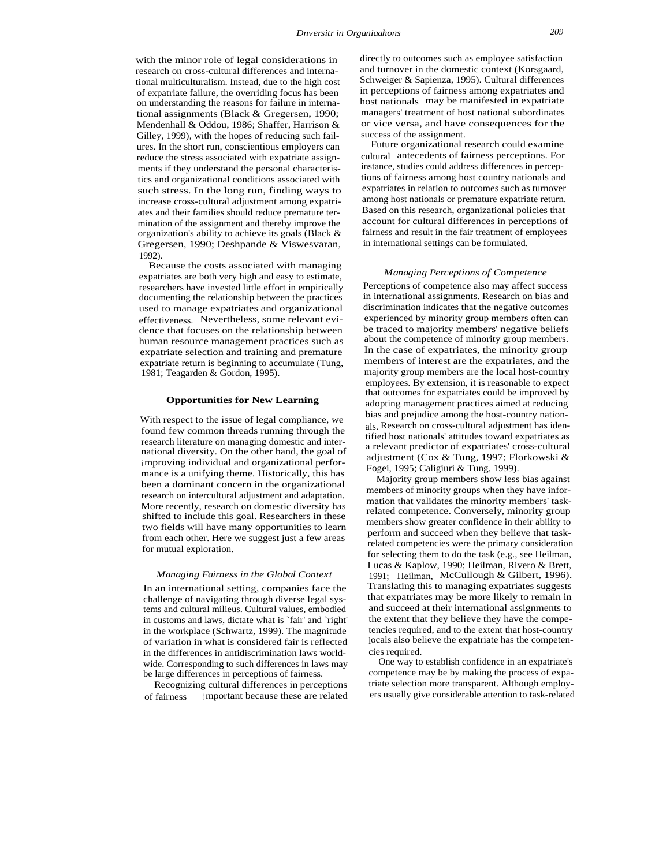with the minor role of legal considerations in research on cross-cultural differences and international multiculturalism. Instead, due to the high cost of expatriate failure, the overriding focus has been on understanding the reasons for failure in international assignments (Black & Gregersen, 1990; Mendenhall & Oddou, 1986; Shaffer, Harrison & Gilley, 1999), with the hopes of reducing such failures. In the short run, conscientious employers can reduce the stress associated with expatriate assignments if they understand the personal characteristics and organizational conditions associated with such stress. In the long run, finding ways to increase cross-cultural adjustment among expatriates and their families should reduce premature termination of the assignment and thereby improve the organization's ability to achieve its goals (Black & Gregersen, 1990; Deshpande & Viswesvaran, 1992).

Because the costs associated with managing expatriates are both very high and easy to estimate, researchers have invested little effort in empirically documenting the relationship between the practices used to manage expatriates and organizational effectiveness. Nevertheless, some relevant evidence that focuses on the relationship between human resource management practices such as expatriate selection and training and premature expatriate return is beginning to accumulate (Tung, 1981; Teagarden & Gordon, 1995).

#### **Opportunities for New Learning**

With respect to the issue of legal compliance, we found few common threads running through the research literature on managing domestic and international diversity. On the other hand, the goal of improving individual and organizational performance is a unifying theme. Historically, this has been a dominant concern in the organizational research on intercultural adjustment and adaptation. More recently, research on domestic diversity has shifted to include this goal. Researchers in these two fields will have many opportunities to learn from each other. Here we suggest just a few areas for mutual exploration.

#### *Managing Fairness in the Global Context*

In an international setting, companies face the challenge of navigating through diverse legal systems and cultural milieus. Cultural values, embodied in customs and laws, dictate what is `fair' and `right' in the workplace (Schwartz, 1999). The magnitude of variation in what is considered fair is reflected in the differences in antidiscrimination laws worldwide. Corresponding to such differences in laws may be large differences in perceptions of fairness.

Recognizing cultural differences in perceptions of fairness <sup>i</sup> mportant because these are related directly to outcomes such as employee satisfaction and turnover in the domestic context (Korsgaard, Schweiger & Sapienza, 1995). Cultural differences in perceptions of fairness among expatriates and host nationals may be manifested in expatriate managers' treatment of host national subordinates or vice versa, and have consequences for the success of the assignment.

Future organizational research could examine cultural antecedents of fairness perceptions. For instance, studies could address differences in perceptions of fairness among host country nationals and expatriates in relation to outcomes such as turnover among host nationals or premature expatriate return. Based on this research, organizational policies that account for cultural differences in perceptions of fairness and result in the fair treatment of employees in international settings can be formulated.

#### *Managing Perceptions of Competence*

Perceptions of competence also may affect success in international assignments. Research on bias and discrimination indicates that the negative outcomes experienced by minority group members often can be traced to majority members' negative beliefs about the competence of minority group members. In the case of expatriates, the minority group members of interest are the expatriates, and the majority group members are the local host-country employees. By extension, it is reasonable to expect that outcomes for expatriates could be improved by adopting management practices aimed at reducing bias and prejudice among the host-country nationals. Research on cross-cultural adjustment has identified host nationals' attitudes toward expatriates as a relevant predictor of expatriates' cross-cultural adjustment (Cox & Tung, 1997; Florkowski & Fogei, 1995; Caligiuri & Tung, 1999).

Majority group members show less bias against members of minority groups when they have information that validates the minority members' taskrelated competence. Conversely, minority group members show greater confidence in their ability to perform and succeed when they believe that taskrelated competencies were the primary consideration for selecting them to do the task (e.g., see Heilman, Lucas & Kaplow, 1990; Heilman, Rivero & Brett, 1991; Heilman, McCullough & Gilbert, 1996). Translating this to managing expatriates suggests that expatriates may be more likely to remain in and succeed at their international assignments to the extent that they believe they have the competencies required, and to the extent that host-country locals also believe the expatriate has the competencies required.

One way to establish confidence in an expatriate's competence may be by making the process of expatriate selection more transparent. Although employers usually give considerable attention to task-related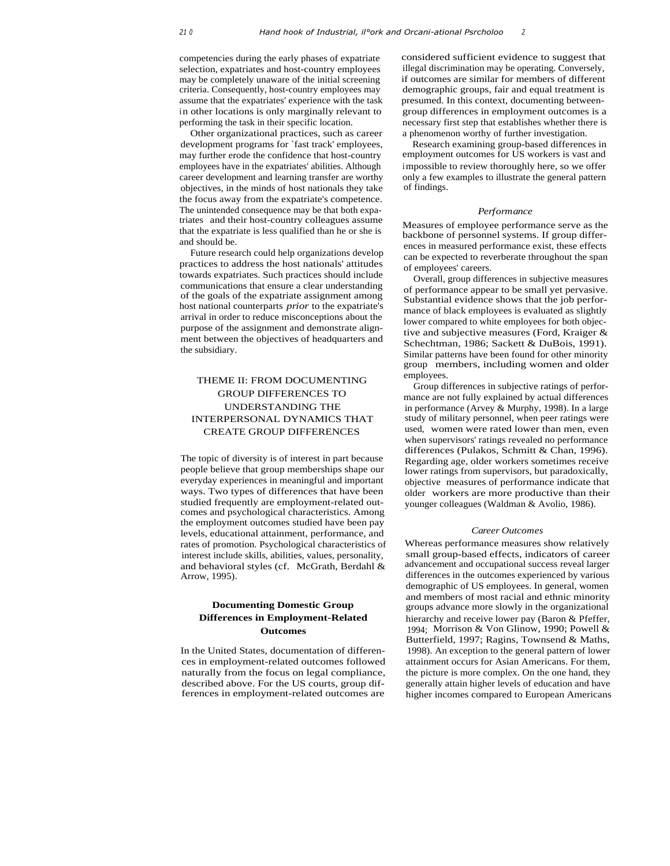competencies during the early phases of expatriate selection, expatriates and host-country employees may be completely unaware of the initial screening criteria. Consequently, host-country employees may assume that the expatriates' experience with the task in other locations is only marginally relevant to performing the task in their specific location.

Other organizational practices, such as career development programs for `fast track' employees, may further erode the confidence that host-country employees have in the expatriates' abilities. Although career development and learning transfer are worthy objectives, in the minds of host nationals they take the focus away from the expatriate's competence. The unintended consequence may be that both expatriates and their host-country colleagues assume that the expatriate is less qualified than he or she is and should be.

Future research could help organizations develop practices to address the host nationals' attitudes towards expatriates. Such practices should include communications that ensure a clear understanding of the goals of the expatriate assignment among host national counterparts *prior* to the expatriate's arrival in order to reduce misconceptions about the purpose of the assignment and demonstrate alignment between the objectives of headquarters and the subsidiary.

## THEME II: FROM DOCUMENTING GROUP DIFFERENCES TO UNDERSTANDING THE INTERPERSONAL DYNAMICS THAT CREATE GROUP DIFFERENCES

The topic of diversity is of interest in part because people believe that group memberships shape our everyday experiences in meaningful and important ways. Two types of differences that have been studied frequently are employment-related outcomes and psychological characteristics. Among the employment outcomes studied have been pay levels, educational attainment, performance, and rates of promotion. Psychological characteristics of interest include skills, abilities, values, personality, and behavioral styles (cf. McGrath, Berdahl & Arrow, 1995).

## **Documenting Domestic Group Differences in Employment-Related Outcomes**

In the United States, documentation of differences in employment-related outcomes followed naturally from the focus on legal compliance, described above. For the US courts, group differences in employment-related outcomes are

considered sufficient evidence to suggest that illegal discrimination may be operating. Conversely, if outcomes are similar for members of different demographic groups, fair and equal treatment is presumed. In this context, documenting betweengroup differences in employment outcomes is a necessary first step that establishes whether there is a phenomenon worthy of further investigation.

Research examining group-based differences in employment outcomes for US workers is vast and impossible to review thoroughly here, so we offer only a few examples to illustrate the general pattern of findings.

#### *Performance*

Measures of employee performance serve as the backbone of personnel systems. If group differences in measured performance exist, these effects can be expected to reverberate throughout the span of employees' careers.

Overall, group differences in subjective measures of performance appear to be small yet pervasive. Substantial evidence shows that the job performance of black employees is evaluated as slightly lower compared to white employees for both objective and subjective measures (Ford, Kraiger & Schechtman, 1986; Sackett & DuBois, 1991). Similar patterns have been found for other minority group members, including women and older employees.

Group differences in subjective ratings of performance are not fully explained by actual differences in performance (Arvey & Murphy, 1998). In a large study of military personnel, when peer ratings were used, women were rated lower than men, even when supervisors' ratings revealed no performance differences (Pulakos, Schmitt & Chan, 1996). Regarding age, older workers sometimes receive lower ratings from supervisors, but paradoxically, objective measures of performance indicate that older workers are more productive than their younger colleagues (Waldman & Avolio, 1986).

#### *Career Outcomes*

Whereas performance measures show relatively small group-based effects, indicators of career advancement and occupational success reveal larger differences in the outcomes experienced by various demographic of US employees. In general, women and members of most racial and ethnic minority groups advance more slowly in the organizational hierarchy and receive lower pay (Baron & Pfeffer, 1994; Morrison & Von Glinow, 1990; Powell & Butterfield, 1997; Ragins, Townsend & Maths, 1998). An exception to the general pattern of lower attainment occurs for Asian Americans. For them, the picture is more complex. On the one hand, they generally attain higher levels of education and have higher incomes compared to European Americans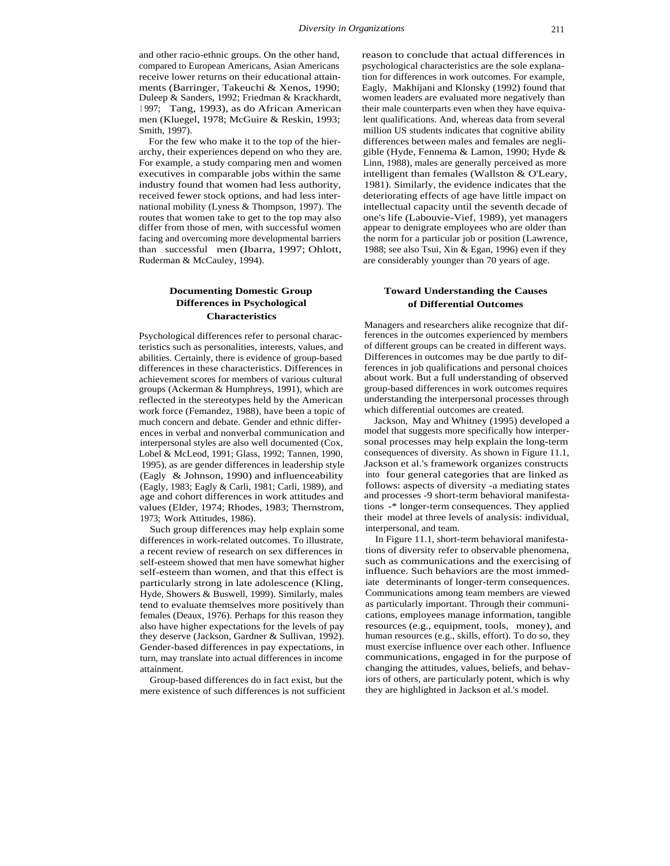and other racio-ethnic groups. On the other hand, compared to European Americans, Asian Americans receive lower returns on their educational attainments (Barringer, Takeuchi & Xenos, 1990; Duleep & Sanders, 1992; Friedman & Krackhardt, <sup>1</sup> 997; Tang, 1993), as do African American men (Kluegel, 1978; McGuire & Reskin, 1993; Smith, 1997).

For the few who make it to the top of the hierarchy, their experiences depend on who they are. For example, a study comparing men and women executives in comparable jobs within the same industry found that women had less authority, received fewer stock options, and had less international mobility (Lyness & Thompson, 1997). The routes that women take to get to the top may also differ from those of men, with successful women facing and overcoming more developmental barriers than successful men (Ibarra, 1997; Ohlott, Ruderman & McCauley, 1994).

## **Documenting Domestic Group Differences in Psychological Characteristics**

Psychological differences refer to personal characteristics such as personalities, interests, values, and abilities. Certainly, there is evidence of group-based differences in these characteristics. Differences in achievement scores for members of various cultural groups (Ackerman & Humphreys, 1991), which are reflected in the stereotypes held by the American work force (Femandez, 1988), have been a topic of much concern and debate. Gender and ethnic differences in verbal and nonverbal communication and interpersonal styles are also well documented (Cox, Lobel & McLeod, 1991; Glass, 1992; Tannen, 1990, 1995), as are gender differences in leadership style (Eagly & Johnson, 1990) and influenceability (Eagly, 1983; Eagly & Carli, 1981; Carli, 1989), and age and cohort differences in work attitudes and values (Elder, 1974; Rhodes, 1983; Thernstrom, 1973; Work Attitudes, 1986).

Such group differences may help explain some differences in work-related outcomes. To illustrate, a recent review of research on sex differences in self-esteem showed that men have somewhat higher self-esteem than women, and that this effect is particularly strong in late adolescence (Kling, Hyde, Showers & Buswell, 1999). Similarly, males tend to evaluate themselves more positively than females (Deaux, 1976). Perhaps for this reason they also have higher expectations for the levels of pay they deserve (Jackson, Gardner & Sullivan, 1992). Gender-based differences in pay expectations, in turn, may translate into actual differences in income attainment.

Group-based differences do in fact exist, but the mere existence of such differences is not sufficient reason to conclude that actual differences in psychological characteristics are the sole explanation for differences in work outcomes. For example, Eagly, Makhijani and Klonsky (1992) found that women leaders are evaluated more negatively than their male counterparts even when they have equivalent qualifications. And, whereas data from several million US students indicates that cognitive ability differences between males and females are negligible (Hyde, Fennema & Lamon, 1990; Hyde & Linn, 1988), males are generally perceived as more intelligent than females (Wallston & O'Leary, 1981). Similarly, the evidence indicates that the deteriorating effects of age have little impact on intellectual capacity until the seventh decade of one's life (Labouvie-Vief, 1989), yet managers appear to denigrate employees who are older than the norm for a particular job or position (Lawrence, 1988; see also Tsui, Xin & Egan, 1996) even if they are considerably younger than 70 years of age.

## **Toward Understanding the Causes of Differential Outcomes**

Managers and researchers alike recognize that differences in the outcomes experienced by members of different groups can be created in different ways. Differences in outcomes may be due partly to differences in job qualifications and personal choices about work. But a full understanding of observed group-based differences in work outcomes requires understanding the interpersonal processes through which differential outcomes are created.

Jackson, May and Whitney (1995) developed a model that suggests more specifically how interpersonal processes may help explain the long-term consequences of diversity. As shown in Figure 11.1, Jackson et al.'s framework organizes constructs into four general categories that are linked as follows: aspects of diversity -a mediating states and processes -9 short-term behavioral manifestations -\* longer-term consequences. They applied their model at three levels of analysis: individual, interpersonal, and team.

In Figure 11.1, short-term behavioral manifestations of diversity refer to observable phenomena, such as communications and the exercising of influence. Such behaviors are the most immediate determinants of longer-term consequences. Communications among team members are viewed as particularly important. Through their communications, employees manage information, tangible resources (e.g., equipment, tools, money), and human resources (e.g., skills, effort). To do so, they must exercise influence over each other. Influence communications, engaged in for the purpose of changing the attitudes, values, beliefs, and behaviors of others, are particularly potent, which is why they are highlighted in Jackson et al.'s model.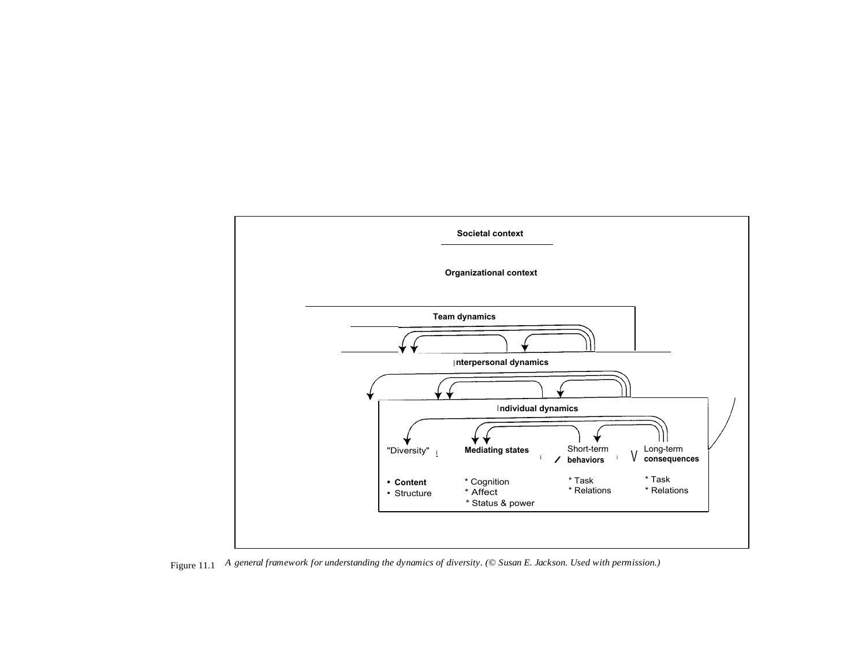

Figure 11.1 *A general framework for understanding the dynamics of diversity. (© Susan E. Jackson. Used with permission.)*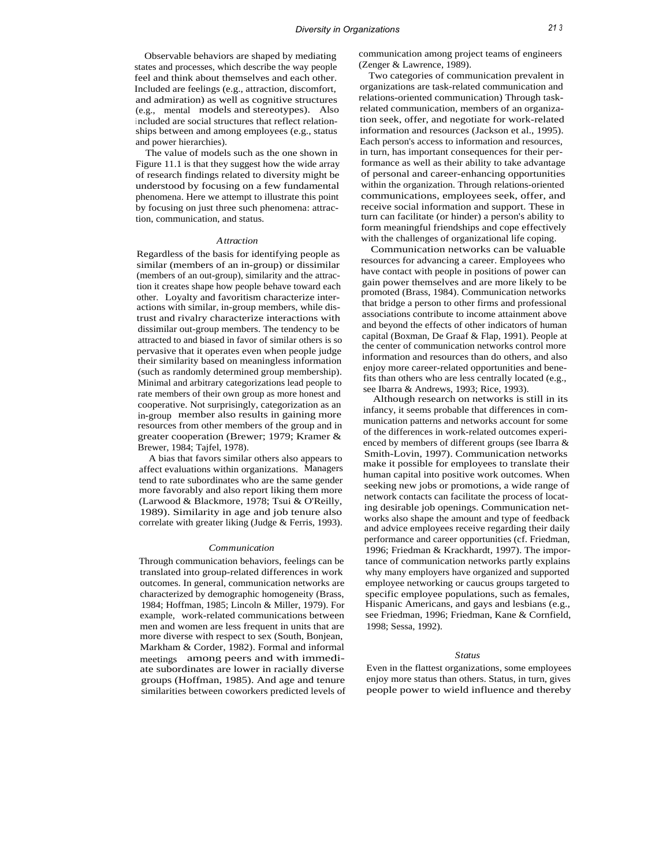Observable behaviors are shaped by mediating states and processes, which describe the way people feel and think about themselves and each other. Included are feelings (e.g., attraction, discomfort, and admiration) as well as cognitive structures (e.g., mental models and stereotypes). Also included are social structures that reflect relationships between and among employees (e.g., status and power hierarchies).

The value of models such as the one shown in Figure 11.1 is that they suggest how the wide array of research findings related to diversity might be understood by focusing on a few fundamental phenomena. Here we attempt to illustrate this point by focusing on just three such phenomena: attraction, communication, and status.

#### *Attraction*

Regardless of the basis for identifying people as similar (members of an in-group) or dissimilar (members of an out-group), similarity and the attraction it creates shape how people behave toward each other. Loyalty and favoritism characterize interactions with similar, in-group members, while distrust and rivalry characterize interactions with dissimilar out-group members. The tendency to be attracted to and biased in favor of similar others is so pervasive that it operates even when people judge their similarity based on meaningless information (such as randomly determined group membership). Minimal and arbitrary categorizations lead people to rate members of their own group as more honest and cooperative. Not surprisingly, categorization as an in-group member also results in gaining more resources from other members of the group and in greater cooperation (Brewer; 1979; Kramer & Brewer, 1984; Tajfel, 1978).

A bias that favors similar others also appears to affect evaluations within organizations. Managers tend to rate subordinates who are the same gender more favorably and also report liking them more (Larwood & Blackmore, 1978; Tsui & O'Reilly, 1989). Similarity in age and job tenure also correlate with greater liking (Judge & Ferris, 1993).

#### *Communication*

Through communication behaviors, feelings can be translated into group-related differences in work outcomes. In general, communication networks are characterized by demographic homogeneity (Brass, 1984; Hoffman, 1985; Lincoln & Miller, 1979). For example, work-related communications between men and women are less frequent in units that are more diverse with respect to sex (South, Bonjean, Markham & Corder, 1982). Formal and informal meetings among peers and with immediate subordinates are lower in racially diverse groups (Hoffman, 1985). And age and tenure similarities between coworkers predicted levels of communication among project teams of engineers (Zenger & Lawrence, 1989).

Two categories of communication prevalent in organizations are task-related communication and relations-oriented communication) Through taskrelated communication, members of an organization seek, offer, and negotiate for work-related information and resources (Jackson et al., 1995). Each person's access to information and resources, in turn, has important consequences for their performance as well as their ability to take advantage of personal and career-enhancing opportunities within the organization. Through relations-oriented communications, employees seek, offer, and receive social information and support. These in turn can facilitate (or hinder) a person's ability to form meaningful friendships and cope effectively with the challenges of organizational life coping.

Communication networks can be valuable resources for advancing a career. Employees who have contact with people in positions of power can gain power themselves and are more likely to be promoted (Brass, 1984). Communication networks that bridge a person to other firms and professional associations contribute to income attainment above and beyond the effects of other indicators of human capital (Boxman, De Graaf & Flap, 1991). People at the center of communication networks control more information and resources than do others, and also enjoy more career-related opportunities and benefits than others who are less centrally located (e.g., see Ibarra & Andrews, 1993; Rice, 1993).

Although research on networks is still in its infancy, it seems probable that differences in communication patterns and networks account for some of the differences in work-related outcomes experienced by members of different groups (see Ibarra & Smith-Lovin, 1997). Communication networks make it possible for employees to translate their human capital into positive work outcomes. When seeking new jobs or promotions, a wide range of network contacts can facilitate the process of locating desirable job openings. Communication networks also shape the amount and type of feedback and advice employees receive regarding their daily performance and career opportunities (cf. Friedman, 1996; Friedman & Krackhardt, 1997). The importance of communication networks partly explains why many employers have organized and supported employee networking or caucus groups targeted to specific employee populations, such as females, Hispanic Americans, and gays and lesbians (e.g., see Friedman, 1996; Friedman, Kane & Cornfield, 1998; Sessa, 1992).

#### *Status*

Even in the flattest organizations, some employees enjoy more status than others. Status, in turn, gives people power to wield influence and thereby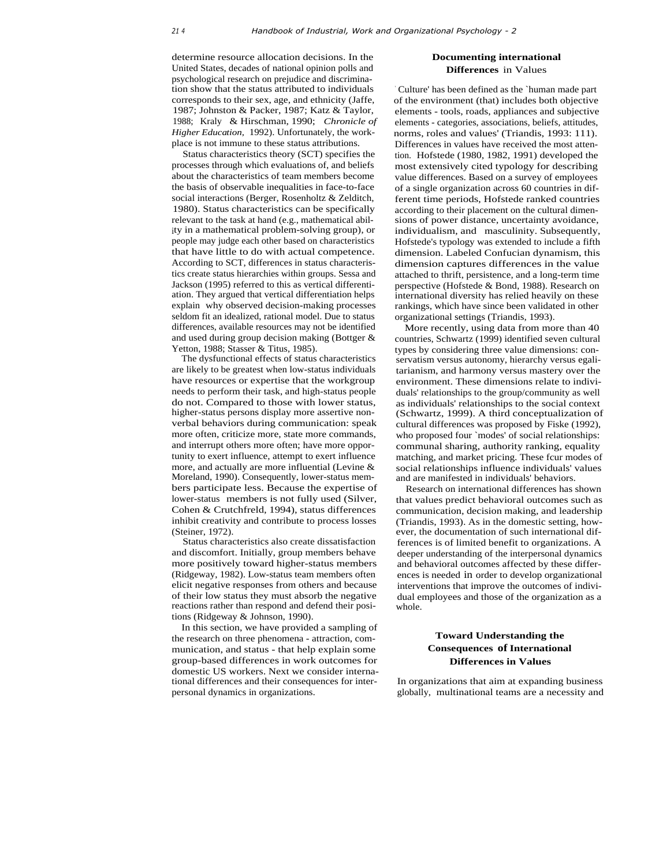determine resource allocation decisions. In the United States, decades of national opinion polls and psychological research on prejudice and discrimination show that the status attributed to individuals corresponds to their sex, age, and ethnicity (Jaffe, 1987; Johnston & Packer, 1987; Katz & Taylor, 1988; Kraly & Hirschman, 1990; *Chronicle of Higher Education,* 1992). Unfortunately, the workplace is not immune to these status attributions.

Status characteristics theory (SCT) specifies the processes through which evaluations of, and beliefs about the characteristics of team members become the basis of observable inequalities in face-to-face social interactions (Berger, Rosenholtz & Zelditch, 1980). Status characteristics can be specifically relevant to the task at hand (e.g., mathematical ability in a mathematical problem-solving group), or people may judge each other based on characteristics that have little to do with actual competence. According to SCT, differences in status characteristics create status hierarchies within groups. Sessa and Jackson (1995) referred to this as vertical differentiation. They argued that vertical differentiation helps explain why observed decision-making processes seldom fit an idealized, rational model. Due to status differences, available resources may not be identified and used during group decision making (Bottger & Yetton, 1988; Stasser & Titus, 1985).

The dysfunctional effects of status characteristics are likely to be greatest when low-status individuals have resources or expertise that the workgroup needs to perform their task, and high-status people do not. Compared to those with lower status, higher-status persons display more assertive nonverbal behaviors during communication: speak more often, criticize more, state more commands, and interrupt others more often; have more opportunity to exert influence, attempt to exert influence more, and actually are more influential (Levine & Moreland, 1990). Consequently, lower-status members participate less. Because the expertise of lower-status members is not fully used (Silver, Cohen & Crutchfreld, 1994), status differences inhibit creativity and contribute to process losses (Steiner, 1972).

Status characteristics also create dissatisfaction and discomfort. Initially, group members behave more positively toward higher-status members (Ridgeway, 1982). Low-status team members often elicit negative responses from others and because of their low status they must absorb the negative reactions rather than respond and defend their positions (Ridgeway & Johnson, 1990).

In this section, we have provided a sampling of the research on three phenomena - attraction, communication, and status - that help explain some group-based differences in work outcomes for domestic US workers. Next we consider international differences and their consequences for interpersonal dynamics in organizations.

#### **Documenting international Differences** in Values

` Culture' has been defined as the `human made part of the environment (that) includes both objective elements - tools, roads, appliances and subjective elements - categories, associations, beliefs, attitudes, norms, roles and values' (Triandis, 1993: 111). Differences in values have received the most attention. Hofstede (1980, 1982, 1991) developed the most extensively cited typology for describing value differences. Based on a survey of employees of a single organization across 60 countries in different time periods, Hofstede ranked countries according to their placement on the cultural dimensions of power distance, uncertainty avoidance, individualism, and masculinity. Subsequently, Hofstede's typology was extended to include a fifth dimension. Labeled Confucian dynamism, this dimension captures differences in the value attached to thrift, persistence, and a long-term time perspective (Hofstede & Bond, 1988). Research on international diversity has relied heavily on these rankings, which have since been validated in other organizational settings (Triandis, 1993).

More recently, using data from more than 40 countries, Schwartz (1999) identified seven cultural types by considering three value dimensions: conservatism versus autonomy, hierarchy versus egalitarianism, and harmony versus mastery over the environment. These dimensions relate to individuals' relationships to the group/community as well as individuals' relationships to the social context (Schwartz, 1999). A third conceptualization of cultural differences was proposed by Fiske (1992), who proposed four `modes' of social relationships: communal sharing, authority ranking, equality matching, and market pricing. These fcur modes of social relationships influence individuals' values and are manifested in individuals' behaviors.

Research on international differences has shown that values predict behavioral outcomes such as communication, decision making, and leadership (Triandis, 1993). As in the domestic setting, however, the documentation of such international differences is of limited benefit to organizations. A deeper understanding of the interpersonal dynamics and behavioral outcomes affected by these differences is needed in order to develop organizational interventions that improve the outcomes of individual employees and those of the organization as a whole.

## **Toward Understanding the Consequences of International Differences in Values**

In organizations that aim at expanding business globally, multinational teams are a necessity and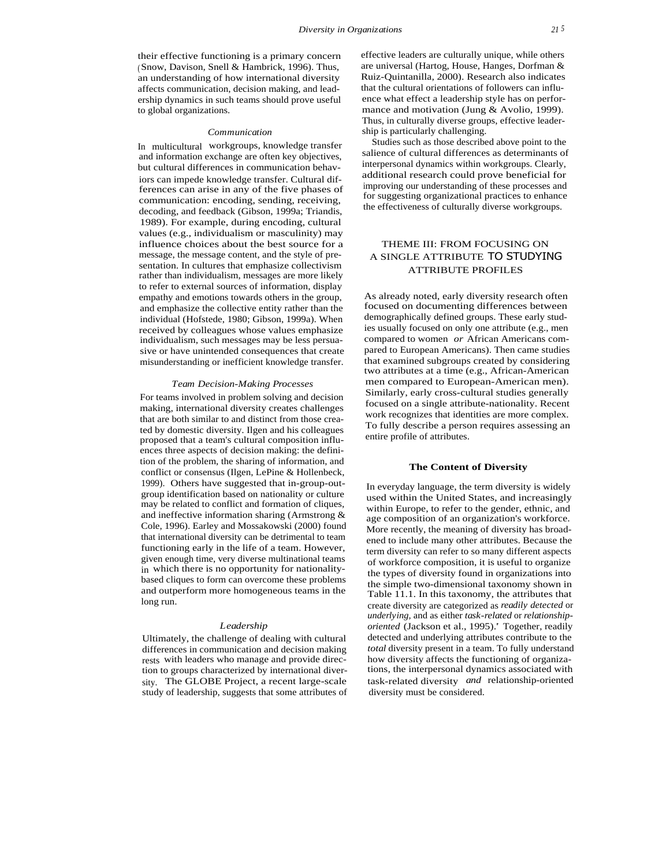their effective functioning is a primary concern (Snow, Davison, Snell & Hambrick, 1996). Thus, an understanding of how international diversity affects communication, decision making, and leadership dynamics in such teams should prove useful to global organizations.

#### *Communication*

In multicultural workgroups, knowledge transfer and information exchange are often key objectives, but cultural differences in communication behaviors can impede knowledge transfer. Cultural differences can arise in any of the five phases of communication: encoding, sending, receiving, decoding, and feedback (Gibson, 1999a; Triandis, 1989). For example, during encoding, cultural values (e.g., individualism or masculinity) may influence choices about the best source for a message, the message content, and the style of presentation. In cultures that emphasize collectivism rather than individualism, messages are more likely to refer to external sources of information, display empathy and emotions towards others in the group, and emphasize the collective entity rather than the individual (Hofstede, 1980; Gibson, 1999a). When received by colleagues whose values emphasize individualism, such messages may be less persuasive or have unintended consequences that create misunderstanding or inefficient knowledge transfer.

#### *Team Decision-Making Processes*

For teams involved in problem solving and decision making, international diversity creates challenges that are both similar to and distinct from those created by domestic diversity. Ilgen and his colleagues proposed that a team's cultural composition influences three aspects of decision making: the definition of the problem, the sharing of information, and conflict or consensus (Ilgen, LePine & Hollenbeck, 1999). Others have suggested that in-group-outgroup identification based on nationality or culture may be related to conflict and formation of cliques, and ineffective information sharing (Armstrong & Cole, 1996). Earley and Mossakowski (2000) found that international diversity can be detrimental to team functioning early in the life of a team. However, given enough time, very diverse multinational teams in which there is no opportunity for nationalitybased cliques to form can overcome these problems and outperform more homogeneous teams in the long run.

#### *Leadership*

Ultimately, the challenge of dealing with cultural differences in communication and decision making rests with leaders who manage and provide direction to groups characterized by international diversity. The GLOBE Project, a recent large-scale study of leadership, suggests that some attributes of effective leaders are culturally unique, while others are universal (Hartog, House, Hanges, Dorfman & Ruiz-Quintanilla, 2000). Research also indicates that the cultural orientations of followers can influence what effect a leadership style has on performance and motivation (Jung & Avolio, 1999). Thus, in culturally diverse groups, effective leadership is particularly challenging.

Studies such as those described above point to the salience of cultural differences as determinants of interpersonal dynamics within workgroups. Clearly, additional research could prove beneficial for improving our understanding of these processes and for suggesting organizational practices to enhance the effectiveness of culturally diverse workgroups.

## THEME III<sup>.</sup> FROM FOCUSING ON A SINGLE ATTRIBUTE TO STUDYING ATTRIBUTE PROFILES

As already noted, early diversity research often focused on documenting differences between demographically defined groups. These early studies usually focused on only one attribute (e.g., men compared to women *or* African Americans compared to European Americans). Then came studies that examined subgroups created by considering two attributes at a time (e.g., African-American men compared to European-American men). Similarly, early cross-cultural studies generally focused on a single attribute-nationality. Recent work recognizes that identities are more complex. To fully describe a person requires assessing an entire profile of attributes.

#### **The Content of Diversity**

In everyday language, the term diversity is widely used within the United States, and increasingly within Europe, to refer to the gender, ethnic, and age composition of an organization's workforce. More recently, the meaning of diversity has broadened to include many other attributes. Because the term diversity can refer to so many different aspects of workforce composition, it is useful to organize the types of diversity found in organizations into the simple two-dimensional taxonomy shown in Table 11.1. In this taxonomy, the attributes that create diversity are categorized as *readily detected* or *underlying,* and as either *task-related* or *relationship*oriented (Jackson et al., 1995).' Together, readily detected and underlying attributes contribute to the *total* diversity present in a team. To fully understand how diversity affects the functioning of organizations, the interpersonal dynamics associated with task-related diversity *and* relationship-oriented diversity must be considered.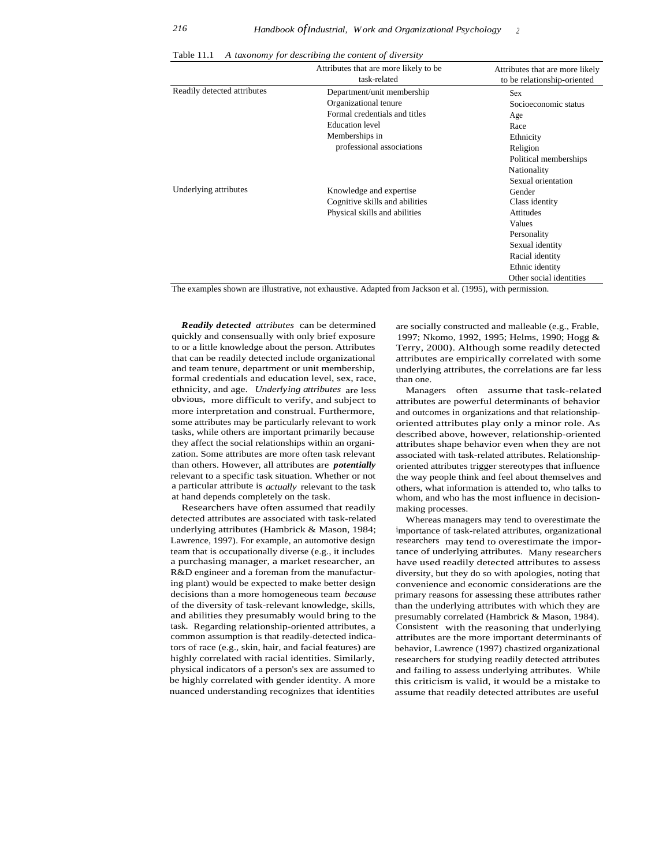|                             | Attributes that are more likely to be<br>task-related | Attributes that are more likely<br>to be relationship-oriented |
|-----------------------------|-------------------------------------------------------|----------------------------------------------------------------|
| Readily detected attributes | Department/unit membership                            | <b>Sex</b>                                                     |
|                             | Organizational tenure                                 | Socioeconomic status                                           |
|                             | Formal credentials and titles                         | Age                                                            |
|                             | Education level                                       | Race                                                           |
|                             | Memberships in                                        | Ethnicity                                                      |
|                             | professional associations                             | Religion                                                       |
|                             |                                                       | Political memberships                                          |
|                             |                                                       | Nationality                                                    |
|                             |                                                       | Sexual orientation                                             |
| Underlying attributes       | Knowledge and expertise                               | Gender                                                         |
|                             | Cognitive skills and abilities                        | Class identity                                                 |
|                             | Physical skills and abilities                         | <b>Attitudes</b>                                               |
|                             |                                                       | Values                                                         |
|                             |                                                       | Personality                                                    |
|                             |                                                       | Sexual identity                                                |
|                             |                                                       | Racial identity                                                |
|                             |                                                       | Ethnic identity                                                |
|                             |                                                       | Other social identities                                        |

Table 11.1 *A taxonomy for describing the content of diversity*

The examples shown are illustrative, not exhaustive. Adapted from Jackson et al. (1995), with permission.

*Readily detected attributes* can be determined quickly and consensually with only brief exposure to or a little knowledge about the person. Attributes that can be readily detected include organizational and team tenure, department or unit membership, formal credentials and education level, sex, race, ethnicity, and age. *Underlying attributes* are less obvious, more difficult to verify, and subject to more interpretation and construal. Furthermore, some attributes may be particularly relevant to work tasks, while others are important primarily because they affect the social relationships within an organization. Some attributes are more often task relevant than others. However, all attributes are *potentially* relevant to a specific task situation. Whether or not a particular attribute is *actually* relevant to the task at hand depends completely on the task.

Researchers have often assumed that readily detected attributes are associated with task-related underlying attributes (Hambrick & Mason, 1984; Lawrence, 1997). For example, an automotive design team that is occupationally diverse (e.g., it includes a purchasing manager, a market researcher, an R&D engineer and a foreman from the manufacturing plant) would be expected to make better design decisions than a more homogeneous team *because* of the diversity of task-relevant knowledge, skills, and abilities they presumably would bring to the task. Regarding relationship-oriented attributes, a common assumption is that readily-detected indicators of race (e.g., skin, hair, and facial features) are highly correlated with racial identities. Similarly, physical indicators of a person's sex are assumed to be highly correlated with gender identity. A more nuanced understanding recognizes that identities

are socially constructed and malleable (e.g., Frable, 1997; Nkomo, 1992, 1995; Helms, 1990; Hogg & Terry, 2000). Although some readily detected attributes are empirically correlated with some underlying attributes, the correlations are far less than one.

Managers often assume that task-related attributes are powerful determinants of behavior and outcomes in organizations and that relationshiporiented attributes play only a minor role. As described above, however, relationship-oriented attributes shape behavior even when they are not associated with task-related attributes. Relationshiporiented attributes trigger stereotypes that influence the way people think and feel about themselves and others, what information is attended to, who talks to whom, and who has the most influence in decisionmaking processes.

Whereas managers may tend to overestimate the importance of task-related attributes, organizational researchers may tend to overestimate the importance of underlying attributes. Many researchers have used readily detected attributes to assess diversity, but they do so with apologies, noting that convenience and economic considerations are the primary reasons for assessing these attributes rather than the underlying attributes with which they are presumably correlated (Hambrick & Mason, 1984). Consistent with the reasoning that underlying attributes are the more important determinants of behavior, Lawrence (1997) chastized organizational researchers for studying readily detected attributes and failing to assess underlying attributes. While this criticism is valid, it would be a mistake to assume that readily detected attributes are useful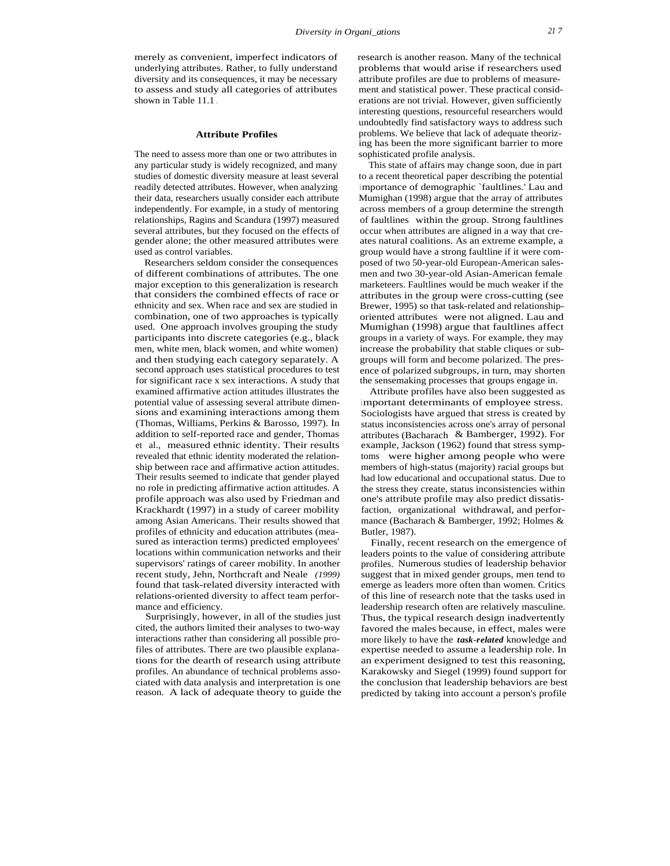merely as convenient, imperfect indicators of underlying attributes. Rather, to fully understand diversity and its consequences, it may be necessary to assess and study all categories of attributes shown in Table 11.1 .

#### **Attribute Profiles**

The need to assess more than one or two attributes in any particular study is widely recognized, and many studies of domestic diversity measure at least several readily detected attributes. However, when analyzing their data, researchers usually consider each attribute independently. For example, in a study of mentoring relationships, Ragins and Scandura (1997) measured several attributes, but they focused on the effects of gender alone; the other measured attributes were used as control variables.

Researchers seldom consider the consequences of different combinations of attributes. The one major exception to this generalization is research that considers the combined effects of race or ethnicity and sex. When race and sex are studied in combination, one of two approaches is typically used. One approach involves grouping the study participants into discrete categories (e.g., black men, white men, black women, and white women) and then studying each category separately. A second approach uses statistical procedures to test for significant race x sex interactions. A study that examined affirmative action attitudes illustrates the potential value of assessing several attribute dimensions and examining interactions among them (Thomas, Williams, Perkins & Barosso, 1997). In addition to self-reported race and gender, Thomas et al., measured ethnic identity. Their results revealed that ethnic identity moderated the relationship between race and affirmative action attitudes. Their results seemed to indicate that gender played no role in predicting affirmative action attitudes. A profile approach was also used by Friedman and Krackhardt (1997) in a study of career mobility among Asian Americans. Their results showed that profiles of ethnicity and education attributes (measured as interaction terms) predicted employees' locations within communication networks and their supervisors' ratings of career mobility. In another recent study, Jehn, Northcraft and Neale *(1999)* found that task-related diversity interacted with relations-oriented diversity to affect team performance and efficiency.

Surprisingly, however, in all of the studies just cited, the authors limited their analyses to two-way interactions rather than considering all possible profiles of attributes. There are two plausible explanations for the dearth of research using attribute profiles. An abundance of technical problems associated with data analysis and interpretation is one reason. A lack of adequate theory to guide the research is another reason. Many of the technical problems that would arise if researchers used attribute profiles are due to problems of measurement and statistical power. These practical considerations are not trivial. However, given sufficiently interesting questions, resourceful researchers would undoubtedly find satisfactory ways to address such problems. We believe that lack of adequate theorizing has been the more significant barrier to more sophisticated profile analysis.

This state of affairs may change soon, due in part to a recent theoretical paper describing the potential importance of demographic 'faultlines.' Lau and Mumighan (1998) argue that the array of attributes across members of a group determine the strength of faultlines within the group. Strong faultlines occur when attributes are aligned in a way that creates natural coalitions. As an extreme example, a group would have a strong faultline if it were composed of two 50-year-old European-American salesmen and two 30-year-old Asian-American female marketeers. Faultlines would be much weaker if the attributes in the group were cross-cutting (see Brewer, 1995) so that task-related and relationshiporiented attributes were not aligned. Lau and Mumighan (1998) argue that faultlines affect groups in a variety of ways. For example, they may increase the probability that stable cliques or subgroups will form and become polarized. The presence of polarized subgroups, in turn, may shorten the sensemaking processes that groups engage in.

Attribute profiles have also been suggested as important determinants of employee stress. Sociologists have argued that stress is created by status inconsistencies across one's array of personal attributes (Bacharach & Bamberger, 1992). For example, Jackson (1962) found that stress symptoms were higher among people who were members of high-status (majority) racial groups but had low educational and occupational status. Due to the stress they create, status inconsistencies within one's attribute profile may also predict dissatisfaction, organizational withdrawal, and performance (Bacharach & Bamberger, 1992; Holmes & Butler, 1987).

Finally, recent research on the emergence of leaders points to the value of considering attribute profiles. Numerous studies of leadership behavior suggest that in mixed gender groups, men tend to emerge as leaders more often than women. Critics of this line of research note that the tasks used in leadership research often are relatively masculine. Thus, the typical research design inadvertently favored the males because, in effect, males were more likely to have the *task-related* knowledge and expertise needed to assume a leadership role. In an experiment designed to test this reasoning, Karakowsky and Siegel (1999) found support for the conclusion that leadership behaviors are best predicted by taking into account a person's profile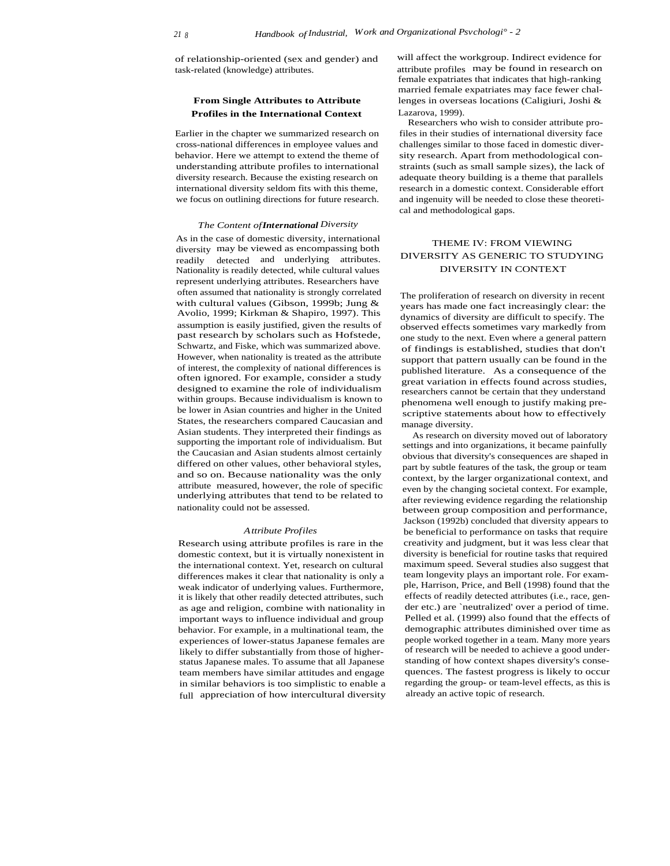of relationship-oriented (sex and gender) and task-related (knowledge) attributes.

## **From Single Attributes to Attribute Profiles in the International Context**

Earlier in the chapter we summarized research on cross-national differences in employee values and behavior. Here we attempt to extend the theme of understanding attribute profiles to international diversity research. Because the existing research on international diversity seldom fits with this theme, we focus on outlining directions for future research.

#### *The Content ofInternational Diversity*

As in the case of domestic diversity, international diversity may be viewed as encompassing both readily detected and underlying attributes. Nationality is readily detected, while cultural values represent underlying attributes. Researchers have often assumed that nationality is strongly correlated with cultural values (Gibson, 1999b; Jung & Avolio, 1999; Kirkman & Shapiro, 1997). This assumption is easily justified, given the results of past research by scholars such as Hofstede, Schwartz, and Fiske, which was summarized above. However, when nationality is treated as the attribute of interest, the complexity of national differences is often ignored. For example, consider a study designed to examine the role of individualism within groups. Because individualism is known to be lower in Asian countries and higher in the United States, the researchers compared Caucasian and Asian students. They interpreted their findings as supporting the important role of individualism. But the Caucasian and Asian students almost certainly differed on other values, other behavioral styles, and so on. Because nationality was the only attribute measured, however, the role of specific underlying attributes that tend to be related to nationality could not be assessed.

#### *Attribute Profiles*

Research using attribute profiles is rare in the domestic context, but it is virtually nonexistent in the international context. Yet, research on cultural differences makes it clear that nationality is only a weak indicator of underlying values. Furthermore, it is likely that other readily detected attributes, such as age and religion, combine with nationality in important ways to influence individual and group behavior. For example, in a multinational team, the experiences of lower-status Japanese females are likely to differ substantially from those of higherstatus Japanese males. To assume that all Japanese team members have similar attitudes and engage in similar behaviors is too simplistic to enable a full appreciation of how intercultural diversity will affect the workgroup. Indirect evidence for attribute profiles may be found in research on female expatriates that indicates that high-ranking married female expatriates may face fewer challenges in overseas locations (Caligiuri, Joshi & Lazarova, 1999).

Researchers who wish to consider attribute profiles in their studies of international diversity face challenges similar to those faced in domestic diversity research. Apart from methodological constraints (such as small sample sizes), the lack of adequate theory building is a theme that parallels research in a domestic context. Considerable effort and ingenuity will be needed to close these theoretical and methodological gaps.

## THEME IV: FROM VIEWING DIVERSITY AS GENERIC TO STUDYING DIVERSITY IN CONTEXT

The proliferation of research on diversity in recent years has made one fact increasingly clear: the dynamics of diversity are difficult to specify. The observed effects sometimes vary markedly from one study to the next. Even where a general pattern of findings is established, studies that don't support that pattern usually can be found in the published literature. As a consequence of the great variation in effects found across studies, researchers cannot be certain that they understand phenomena well enough to justify making prescriptive statements about how to effectively manage diversity.

As research on diversity moved out of laboratory settings and into organizations, it became painfully obvious that diversity's consequences are shaped in part by subtle features of the task, the group or team context, by the larger organizational context, and even by the changing societal context. For example, after reviewing evidence regarding the relationship between group composition and performance, Jackson (1992b) concluded that diversity appears to be beneficial to performance on tasks that require creativity and judgment, but it was less clear that diversity is beneficial for routine tasks that required maximum speed. Several studies also suggest that team longevity plays an important role. For example, Harrison, Price, and Bell (1998) found that the effects of readily detected attributes (i.e., race, gender etc.) are `neutralized' over a period of time. Pelled et al. (1999) also found that the effects of demographic attributes diminished over time as people worked together in a team. Many more years of research will be needed to achieve a good understanding of how context shapes diversity's consequences. The fastest progress is likely to occur regarding the group- or team-level effects, as this is already an active topic of research.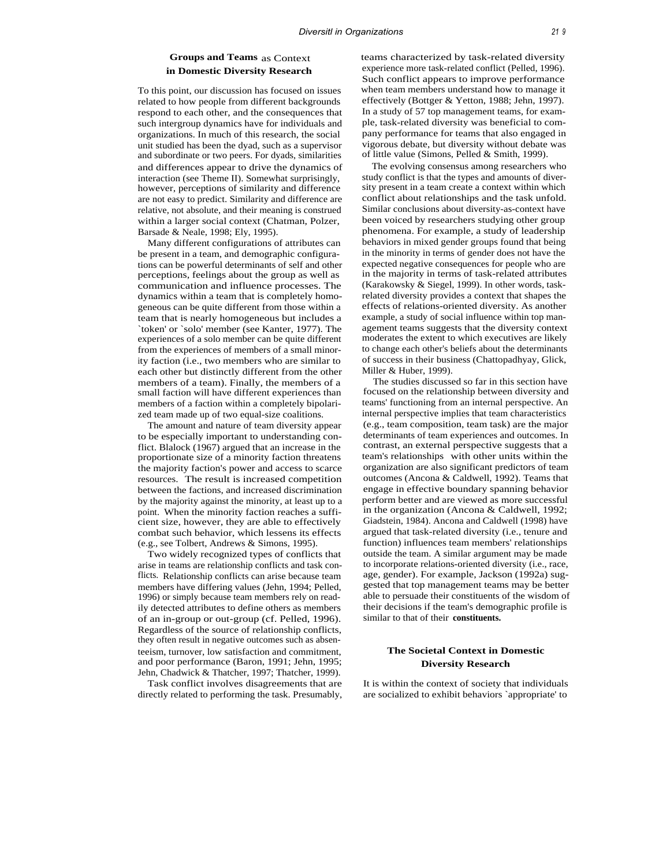## **Groups and Teams** as Context **in Domestic Diversity Research**

To this point, our discussion has focused on issues related to how people from different backgrounds respond to each other, and the consequences that such intergroup dynamics have for individuals and organizations. In much of this research, the social unit studied has been the dyad, such as a supervisor and subordinate or two peers. For dyads, similarities and differences appear to drive the dynamics of interaction (see Theme II). Somewhat surprisingly, however, perceptions of similarity and difference are not easy to predict. Similarity and difference are relative, not absolute, and their meaning is construed within a larger social context (Chatman, Polzer, Barsade & Neale, 1998; Ely, 1995).

Many different configurations of attributes can be present in a team, and demographic configurations can be powerful determinants of self and other perceptions, feelings about the group as well as communication and influence processes. The dynamics within a team that is completely homogeneous can be quite different from those within a team that is nearly homogeneous but includes a `token' or `solo' member (see Kanter, 1977). The experiences of a solo member can be quite different from the experiences of members of a small minority faction (i.e., two members who are similar to each other but distinctly different from the other members of a team). Finally, the members of a small faction will have different experiences than members of a faction within a completely bipolarized team made up of two equal-size coalitions.

The amount and nature of team diversity appear to be especially important to understanding conflict. Blalock (1967) argued that an increase in the proportionate size of a minority faction threatens the majority faction's power and access to scarce resources. The result is increased competition between the factions, and increased discrimination by the majority against the minority, at least up to a point. When the minority faction reaches a sufficient size, however, they are able to effectively combat such behavior, which lessens its effects (e.g., see Tolbert, Andrews & Simons, 1995).

Two widely recognized types of conflicts that arise in teams are relationship conflicts and task conflicts. Relationship conflicts can arise because team members have differing values (Jehn, 1994; Pelled, 1996) or simply because team members rely on readily detected attributes to define others as members of an in-group or out-group (cf. Pelled, 1996). Regardless of the source of relationship conflicts, they often result in negative outcomes such as absenteeism, turnover, low satisfaction and commitment, and poor performance (Baron, 1991; Jehn, 1995; Jehn, Chadwick & Thatcher, 1997; Thatcher, 1999).

Task conflict involves disagreements that are directly related to performing the task. Presumably, teams characterized by task-related diversity experience more task-related conflict (Pelled, 1996). Such conflict appears to improve performance when team members understand how to manage it effectively (Bottger & Yetton, 1988; Jehn, 1997). In a study of 57 top management teams, for example, task-related diversity was beneficial to company performance for teams that also engaged in vigorous debate, but diversity without debate was of little value (Simons, Pelled & Smith, 1999).

The evolving consensus among researchers who study conflict is that the types and amounts of diversity present in a team create a context within which conflict about relationships and the task unfold. Similar conclusions about diversity-as-context have been voiced by researchers studying other group phenomena. For example, a study of leadership behaviors in mixed gender groups found that being in the minority in terms of gender does not have the expected negative consequences for people who are in the majority in terms of task-related attributes (Karakowsky & Siegel, 1999). In other words, taskrelated diversity provides a context that shapes the effects of relations-oriented diversity. As another example, a study of social influence within top management teams suggests that the diversity context moderates the extent to which executives are likely to change each other's beliefs about the determinants of success in their business (Chattopadhyay, Glick, Miller & Huber, 1999).

The studies discussed so far in this section have focused on the relationship between diversity and teams' functioning from an internal perspective. An internal perspective implies that team characteristics (e.g., team composition, team task) are the major determinants of team experiences and outcomes. In contrast, an external perspective suggests that a team's relationships with other units within the organization are also significant predictors of team outcomes (Ancona & Caldwell, 1992). Teams that engage in effective boundary spanning behavior perform better and are viewed as more successful in the organization (Ancona & Caldwell, 1992; Giadstein, 1984). Ancona and Caldwell (1998) have argued that task-related diversity (i.e., tenure and function) influences team members' relationships outside the team. A similar argument may be made to incorporate relations-oriented diversity (i.e., race, age, gender). For example, Jackson (1992a) suggested that top management teams may be better able to persuade their constituents of the wisdom of their decisions if the team's demographic profile is similar to that of their **constituents.**

## **The Societal Context in Domestic Diversity Research**

It is within the context of society that individuals are socialized to exhibit behaviors `appropriate' to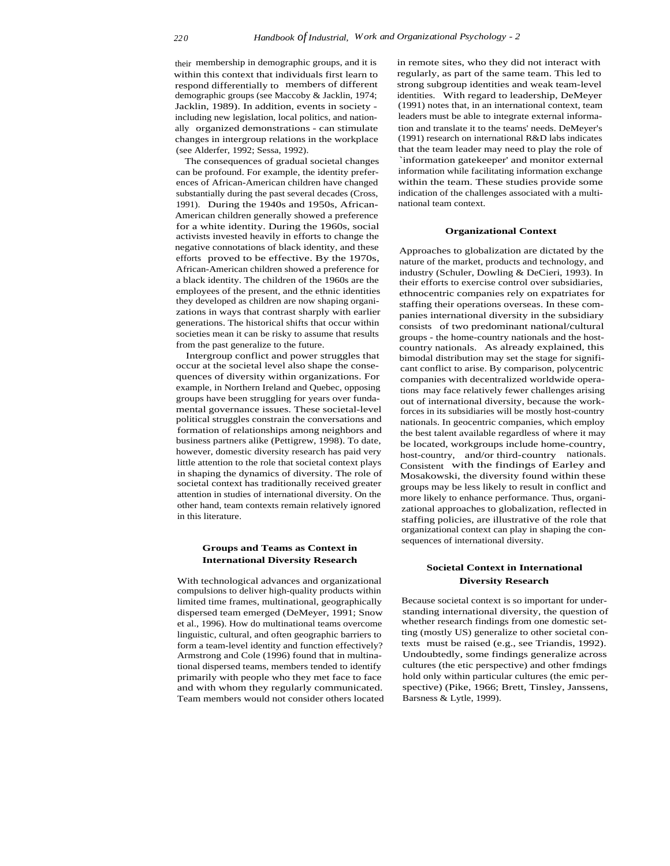their membership in demographic groups, and it is within this context that individuals first learn to respond differentially to members of different demographic groups (see Maccoby & Jacklin, 1974; Jacklin, 1989). In addition, events in society including new legislation, local politics, and nationally organized demonstrations - can stimulate changes in intergroup relations in the workplace (see Alderfer, 1992; Sessa, 1992).

The consequences of gradual societal changes can be profound. For example, the identity preferences of African-American children have changed substantially during the past several decades (Cross, 1991). During the 1940s and 1950s, African-American children generally showed a preference for a white identity. During the 1960s, social activists invested heavily in efforts to change the negative connotations of black identity, and these efforts proved to be effective. By the 1970s, African-American children showed a preference for a black identity. The children of the 1960s are the employees of the present, and the ethnic identities they developed as children are now shaping organizations in ways that contrast sharply with earlier generations. The historical shifts that occur within societies mean it can be risky to assume that results from the past generalize to the future.

Intergroup conflict and power struggles that occur at the societal level also shape the consequences of diversity within organizations. For example, in Northern Ireland and Quebec, opposing groups have been struggling for years over fundamental governance issues. These societal-level political struggles constrain the conversations and formation of relationships among neighbors and business partners alike (Pettigrew, 1998). To date, however, domestic diversity research has paid very little attention to the role that societal context plays in shaping the dynamics of diversity. The role of societal context has traditionally received greater attention in studies of international diversity. On the other hand, team contexts remain relatively ignored in this literature.

### **Groups and Teams as Context in International Diversity Research**

With technological advances and organizational compulsions to deliver high-quality products within limited time frames, multinational, geographically dispersed team emerged (DeMeyer, 1991; Snow et al., 1996). How do multinational teams overcome linguistic, cultural, and often geographic barriers to form a team-level identity and function effectively? Armstrong and Cole (1996) found that in multinational dispersed teams, members tended to identify primarily with people who they met face to face and with whom they regularly communicated. Team members would not consider others located in remote sites, who they did not interact with regularly, as part of the same team. This led to strong subgroup identities and weak team-level identities. With regard to leadership, DeMeyer (1991) notes that, in an international context, team leaders must be able to integrate external information and translate it to the teams' needs. DeMeyer's (1991) research on international R&D labs indicates that the team leader may need to play the role of `information gatekeeper' and monitor external information while facilitating information exchange within the team. These studies provide some indication of the challenges associated with a multinational team context.

#### **Organizational Context**

Approaches to globalization are dictated by the nature of the market, products and technology, and industry (Schuler, Dowling & DeCieri, 1993). In their efforts to exercise control over subsidiaries, ethnocentric companies rely on expatriates for staffing their operations overseas. In these companies international diversity in the subsidiary consists of two predominant national/cultural groups - the home-country nationals and the hostcountry nationals. As already explained, this bimodal distribution may set the stage for significant conflict to arise. By comparison, polycentric companies with decentralized worldwide operations may face relatively fewer challenges arising out of international diversity, because the workforces in its subsidiaries will be mostly host-country nationals. In geocentric companies, which employ the best talent available regardless of where it may be located, workgroups include home-country, host-country, and/or third-country nationals. Consistent with the findings of Earley and Mosakowski, the diversity found within these groups may be less likely to result in conflict and more likely to enhance performance. Thus, organizational approaches to globalization, reflected in staffing policies, are illustrative of the role that organizational context can play in shaping the consequences of international diversity.

## **Societal Context in International Diversity Research**

Because societal context is so important for understanding international diversity, the question of whether research findings from one domestic setting (mostly US) generalize to other societal contexts must be raised (e.g., see Triandis, 1992). Undoubtedly, some findings generalize across cultures (the etic perspective) and other fmdings hold only within particular cultures (the emic perspective) (Pike, 1966; Brett, Tinsley, Janssens, Barsness & Lytle, 1999).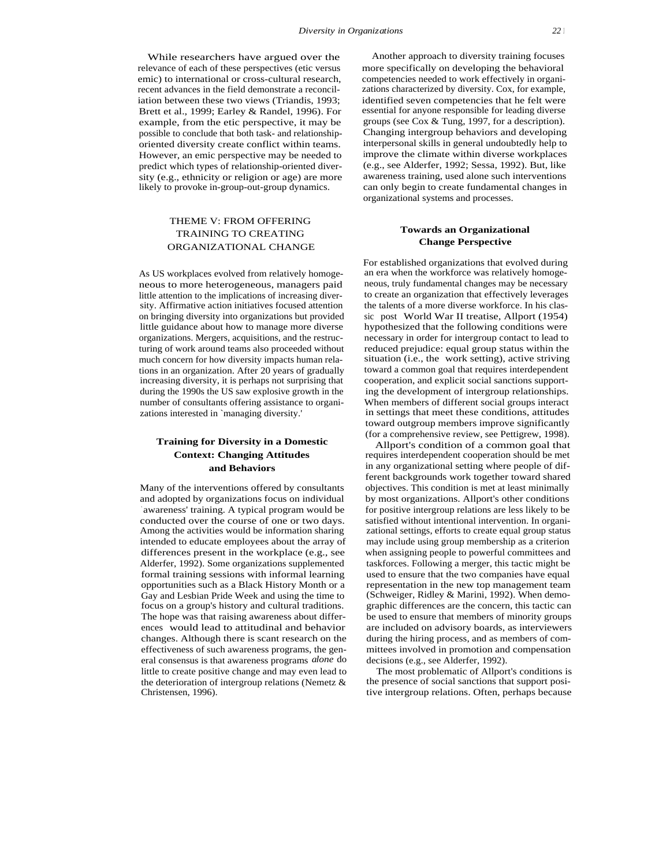While researchers have argued over the relevance of each of these perspectives (etic versus emic) to international or cross-cultural research, recent advances in the field demonstrate a reconciliation between these two views (Triandis, 1993; Brett et al., 1999; Earley & Randel, 1996). For example, from the etic perspective, it may be possible to conclude that both task- and relationshiporiented diversity create conflict within teams. However, an emic perspective may be needed to predict which types of relationship-oriented diversity (e.g., ethnicity or religion or age) are more likely to provoke in-group-out-group dynamics.

## THEME V: FROM OFFERING TRAINING TO CREATING ORGANIZATIONAL CHANGE

As US workplaces evolved from relatively homogeneous to more heterogeneous, managers paid little attention to the implications of increasing diversity. Affirmative action initiatives focused attention on bringing diversity into organizations but provided little guidance about how to manage more diverse organizations. Mergers, acquisitions, and the restructuring of work around teams also proceeded without much concern for how diversity impacts human relations in an organization. After 20 years of gradually increasing diversity, it is perhaps not surprising that during the 1990s the US saw explosive growth in the number of consultants offering assistance to organizations interested in `managing diversity.'

## **Training for Diversity in a Domestic Context: Changing Attitudes and Behaviors**

Many of the interventions offered by consultants and adopted by organizations focus on individual ` awareness' training. A typical program would be conducted over the course of one or two days. Among the activities would be information sharing intended to educate employees about the array of differences present in the workplace (e.g., see Alderfer, 1992). Some organizations supplemented formal training sessions with informal learning opportunities such as a Black History Month or a Gay and Lesbian Pride Week and using the time to focus on a group's history and cultural traditions. The hope was that raising awareness about differences would lead to attitudinal and behavior changes. Although there is scant research on the effectiveness of such awareness programs, the general consensus is that awareness programs *alone* do little to create positive change and may even lead to the deterioration of intergroup relations (Nemetz & Christensen, 1996).

Another approach to diversity training focuses more specifically on developing the behavioral competencies needed to work effectively in organizations characterized by diversity. Cox, for example, identified seven competencies that he felt were essential for anyone responsible for leading diverse groups (see Cox & Tung, 1997, for a description). Changing intergroup behaviors and developing interpersonal skills in general undoubtedly help to improve the climate within diverse workplaces (e.g., see Alderfer, 1992; Sessa, 1992). But, like awareness training, used alone such interventions can only begin to create fundamental changes in organizational systems and processes.

#### **Towards an Organizational Change Perspective**

For established organizations that evolved during an era when the workforce was relatively homogeneous, truly fundamental changes may be necessary to create an organization that effectively leverages the talents of a more diverse workforce. In his classic post World War II treatise, Allport (1954) hypothesized that the following conditions were necessary in order for intergroup contact to lead to reduced prejudice: equal group status within the situation (i.e., the work setting), active striving toward a common goal that requires interdependent cooperation, and explicit social sanctions supporting the development of intergroup relationships. When members of different social groups interact in settings that meet these conditions, attitudes toward outgroup members improve significantly (for a comprehensive review, see Pettigrew, 1998).

Allport's condition of a common goal that requires interdependent cooperation should be met in any organizational setting where people of different backgrounds work together toward shared objectives. This condition is met at least minimally by most organizations. Allport's other conditions for positive intergroup relations are less likely to be satisfied without intentional intervention. In organizational settings, efforts to create equal group status may include using group membership as a criterion when assigning people to powerful committees and taskforces. Following a merger, this tactic might be used to ensure that the two companies have equal representation in the new top management team (Schweiger, Ridley & Marini, 1992). When demographic differences are the concern, this tactic can be used to ensure that members of minority groups are included on advisory boards, as interviewers during the hiring process, and as members of committees involved in promotion and compensation decisions (e.g., see Alderfer, 1992).

The most problematic of Allport's conditions is the presence of social sanctions that support positive intergroup relations. Often, perhaps because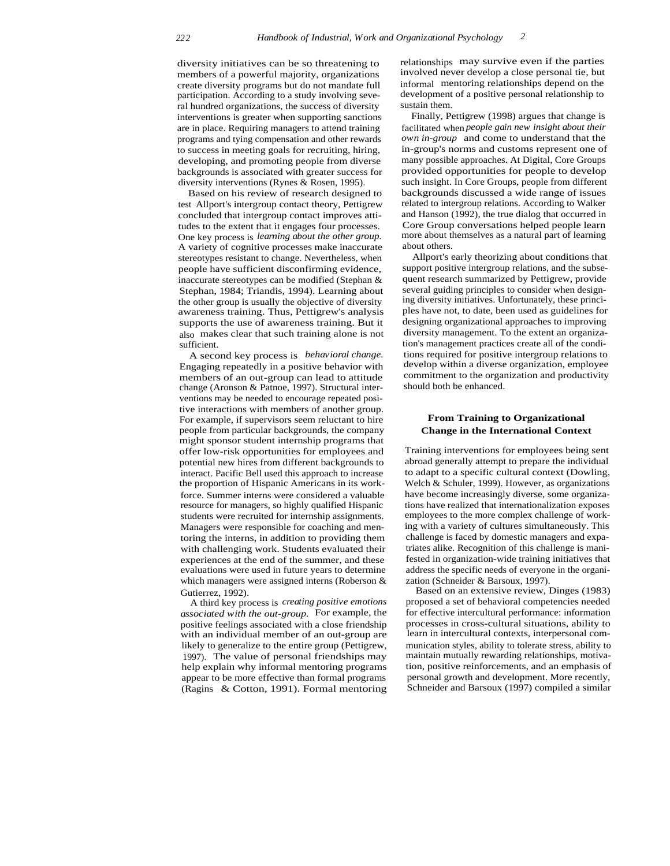diversity initiatives can be so threatening to members of a powerful majority, organizations create diversity programs but do not mandate full participation. According to a study involving several hundred organizations, the success of diversity interventions is greater when supporting sanctions are in place. Requiring managers to attend training programs and tying compensation and other rewards to success in meeting goals for recruiting, hiring, developing, and promoting people from diverse backgrounds is associated with greater success for diversity interventions (Rynes & Rosen, 1995).

Based on his review of research designed to test Allport's intergroup contact theory, Pettigrew concluded that intergroup contact improves attitudes to the extent that it engages four processes. One key process is *learning about the other group.* A variety of cognitive processes make inaccurate stereotypes resistant to change. Nevertheless, when people have sufficient disconfirming evidence, inaccurate stereotypes can be modified (Stephan & Stephan, 1984; Triandis, 1994). Learning about the other group is usually the objective of diversity awareness training. Thus, Pettigrew's analysis supports the use of awareness training. But it also makes clear that such training alone is not sufficient.

A second key process is *behavioral change.* Engaging repeatedly in a positive behavior with members of an out-group can lead to attitude change (Aronson & Patnoe, 1997). Structural interventions may be needed to encourage repeated positive interactions with members of another group. For example, if supervisors seem reluctant to hire people from particular backgrounds, the company might sponsor student internship programs that offer low-risk opportunities for employees and potential new hires from different backgrounds to interact. Pacific Bell used this approach to increase the proportion of Hispanic Americans in its workforce. Summer interns were considered a valuable resource for managers, so highly qualified Hispanic students were recruited for internship assignments. Managers were responsible for coaching and mentoring the interns, in addition to providing them with challenging work. Students evaluated their experiences at the end of the summer, and these evaluations were used in future years to determine which managers were assigned interns (Roberson & Gutierrez, 1992).

A third key process is *creating positive emotions associated with the out-group.* For example, the positive feelings associated with a close friendship with an individual member of an out-group are likely to generalize to the entire group (Pettigrew, 1997). The value of personal friendships may help explain why informal mentoring programs appear to be more effective than formal programs (Ragins & Cotton, 1991). Formal mentoring relationships may survive even if the parties involved never develop a close personal tie, but informal mentoring relationships depend on the development of a positive personal relationship to sustain them.

Finally, Pettigrew (1998) argues that change is facilitated when *people gain new insight about their own in-group* and come to understand that the in-group's norms and customs represent one of many possible approaches. At Digital, Core Groups provided opportunities for people to develop such insight. In Core Groups, people from different backgrounds discussed a wide range of issues related to intergroup relations. According to Walker and Hanson (1992), the true dialog that occurred in Core Group conversations helped people learn more about themselves as a natural part of learning about others.

Allport's early theorizing about conditions that support positive intergroup relations, and the subsequent research summarized by Pettigrew, provide several guiding principles to consider when designing diversity initiatives. Unfortunately, these principles have not, to date, been used as guidelines for designing organizational approaches to improving diversity management. To the extent an organization's management practices create all of the conditions required for positive intergroup relations to develop within a diverse organization, employee commitment to the organization and productivity should both be enhanced.

## **From Training to Organizational Change in the International Context**

Training interventions for employees being sent abroad generally attempt to prepare the individual to adapt to a specific cultural context (Dowling, Welch & Schuler, 1999). However, as organizations have become increasingly diverse, some organizations have realized that internationalization exposes employees to the more complex challenge of working with a variety of cultures simultaneously. This challenge is faced by domestic managers and expatriates alike. Recognition of this challenge is manifested in organization-wide training initiatives that address the specific needs of everyone in the organization (Schneider & Barsoux, 1997).

Based on an extensive review, Dinges (1983) proposed a set of behavioral competencies needed for effective intercultural performance: information processes in cross-cultural situations, ability to learn in intercultural contexts, interpersonal communication styles, ability to tolerate stress, ability to maintain mutually rewarding relationships, motivation, positive reinforcements, and an emphasis of personal growth and development. More recently, Schneider and Barsoux (1997) compiled a similar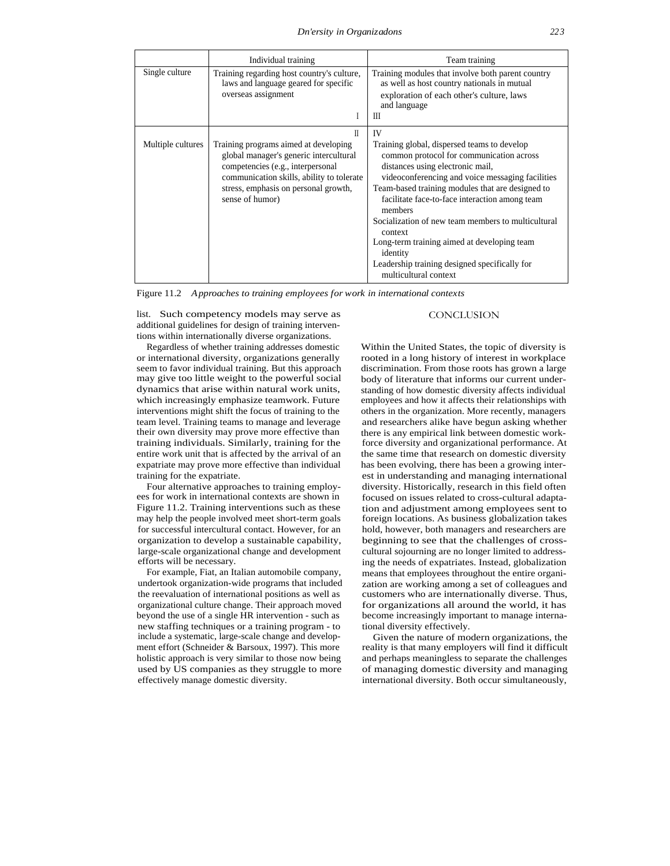|                   | Individual training                                                                                                                                                                                                          | Team training                                                                                                                                                                                                                                                                                                                                                                                                                                                                                          |
|-------------------|------------------------------------------------------------------------------------------------------------------------------------------------------------------------------------------------------------------------------|--------------------------------------------------------------------------------------------------------------------------------------------------------------------------------------------------------------------------------------------------------------------------------------------------------------------------------------------------------------------------------------------------------------------------------------------------------------------------------------------------------|
| Single culture    | Training regarding host country's culture,<br>laws and language geared for specific<br>overseas assignment                                                                                                                   | Training modules that involve both parent country<br>as well as host country nationals in mutual<br>exploration of each other's culture, laws<br>and language<br>Ш                                                                                                                                                                                                                                                                                                                                     |
|                   | Π                                                                                                                                                                                                                            | IV                                                                                                                                                                                                                                                                                                                                                                                                                                                                                                     |
| Multiple cultures | Training programs aimed at developing<br>global manager's generic intercultural<br>competencies (e.g., interpersonal<br>communication skills, ability to tolerate<br>stress, emphasis on personal growth,<br>sense of humor) | Training global, dispersed teams to develop<br>common protocol for communication across<br>distances using electronic mail,<br>videoconferencing and voice messaging facilities<br>Team-based training modules that are designed to<br>facilitate face-to-face interaction among team<br>members<br>Socialization of new team members to multicultural<br>context<br>Long-term training aimed at developing team<br>identity<br>Leadership training designed specifically for<br>multicultural context |

Figure 11.2 *Approaches to training employees for work in international contexts*

list. Such competency models may serve as additional guidelines for design of training interventions within internationally diverse organizations.

Regardless of whether training addresses domestic or international diversity, organizations generally seem to favor individual training. But this approach may give too little weight to the powerful social dynamics that arise within natural work units, which increasingly emphasize teamwork. Future interventions might shift the focus of training to the team level. Training teams to manage and leverage their own diversity may prove more effective than training individuals. Similarly, training for the entire work unit that is affected by the arrival of an expatriate may prove more effective than individual training for the expatriate.

Four alternative approaches to training employees for work in international contexts are shown in Figure 11.2. Training interventions such as these may help the people involved meet short-term goals for successful intercultural contact. However, for an organization to develop a sustainable capability, large-scale organizational change and development efforts will be necessary.

For example, Fiat, an Italian automobile company, undertook organization-wide programs that included the reevaluation of international positions as well as organizational culture change. Their approach moved beyond the use of a single HR intervention - such as new staffing techniques or a training program - to include a systematic, large-scale change and development effort (Schneider & Barsoux, 1997). This more holistic approach is very similar to those now being used by US companies as they struggle to more effectively manage domestic diversity.

#### **CONCLUSION**

Within the United States, the topic of diversity is rooted in a long history of interest in workplace discrimination. From those roots has grown a large body of literature that informs our current understanding of how domestic diversity affects individual employees and how it affects their relationships with others in the organization. More recently, managers and researchers alike have begun asking whether there is any empirical link between domestic workforce diversity and organizational performance. At the same time that research on domestic diversity has been evolving, there has been a growing interest in understanding and managing international diversity. Historically, research in this field often focused on issues related to cross-cultural adaptation and adjustment among employees sent to foreign locations. As business globalization takes hold, however, both managers and researchers are beginning to see that the challenges of crosscultural sojourning are no longer limited to addressing the needs of expatriates. Instead, globalization means that employees throughout the entire organization are working among a set of colleagues and customers who are internationally diverse. Thus, for organizations all around the world, it has become increasingly important to manage international diversity effectively.

Given the nature of modern organizations, the reality is that many employers will find it difficult and perhaps meaningless to separate the challenges of managing domestic diversity and managing international diversity. Both occur simultaneously,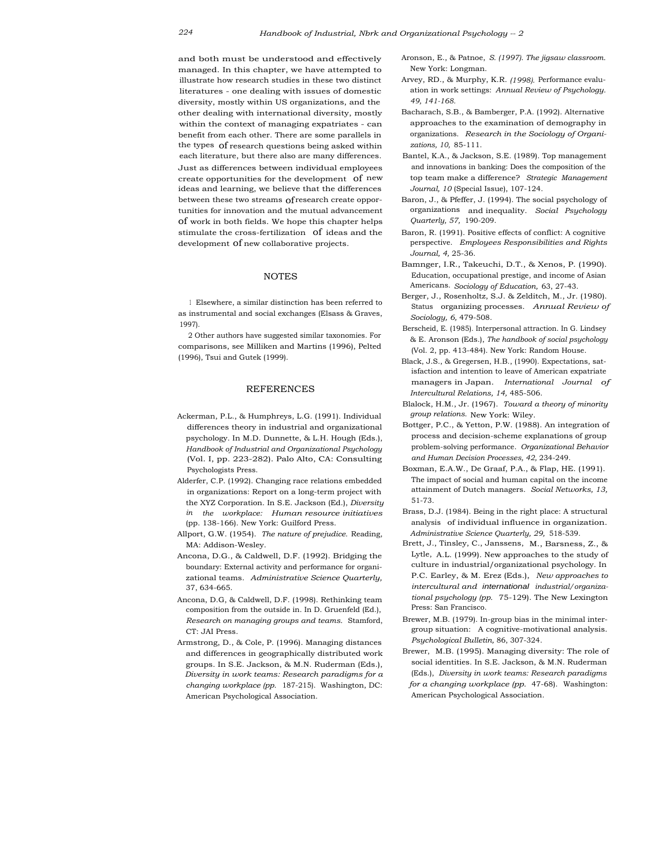and both must be understood and effectively managed. In this chapter, we have attempted to illustrate how research studies in these two distinct literatures - one dealing with issues of domestic diversity, mostly within US organizations, and the other dealing with international diversity, mostly within the context of managing expatriates - can benefit from each other. There are some parallels in the types of research questions being asked within each literature, but there also are many differences. Just as differences between individual employees create opportunities for the development of new ideas and learning, we believe that the differences between these two streams of research create opportunities for innovation and the mutual advancement of work in both fields. We hope this chapter helps stimulate the cross-fertilization of ideas and the development of new collaborative projects.

#### **NOTES**

<sup>1</sup> Elsewhere, a similar distinction has been referred to as instrumental and social exchanges (Elsass & Graves, 1997).

2 Other authors have suggested similar taxonomies. For comparisons, see Milliken and Martins (1996), Pelted (1996), Tsui and Gutek (1999).

### REFERENCES

- Ackerman, P.L., & Humphreys, L.G. (1991). Individual differences theory in industrial and organizational psychology. In M.D. Dunnette, & L.H. Hough (Eds.), *Handbook of Industrial and Organizational Psychology* (Vol. I, pp. 223-282). Palo Alto, CA: Consulting Psychologists Press.
- Alderfer, C.P. (1992). Changing race relations embedded in organizations: Report on a long-term project with the XYZ Corporation. In S.E. Jackson (Ed.), *Diversity in the workplace: Human resource initiatives* (pp. 138-166). New York: Guilford Press.
- Allport, G.W. (1954). *The nature of prejudice.* Reading, MA: Addison-Wesley.
- Ancona, D.G., & Caldwell, D.F. (1992). Bridging the boundary: External activity and performance for organizational teams. *Administrative Science Quarterly,* 37, 634-665.
- Ancona, D.G, & Caldwell, D.F. (1998). Rethinking team composition from the outside in. In D. Gruenfeld (Ed.), *Research on managing groups and teams.* Stamford, CT: JAI Press.
- Armstrong, D., & Cole, P. (1996). Managing distances and differences in geographically distributed work groups. In S.E. Jackson, & M.N. Ruderman (Eds.), *Diversity in work teams: Research paradigms for a changing workplace (pp.* 187-215). Washington, DC: American Psychological Association.
- Aronson, E., & Patnoe, *S. (1997). The jigsaw classroom.* New York: Longman.
- Arvey, RD., & Murphy, K.R. *(1998).* Performance evaluation in work settings: *Annual Review of Psychology. 49, 141-168.*
- Bacharach, S.B., & Bamberger, P.A. (1992). Alternative approaches to the examination of demography in organizations. *Research in the Sociology of Organizations, 10,* 85-111.
- Bantel, K.A., & Jackson, S.E. (1989). Top management and innovations in banking: Does the composition of the top team make a difference? *Strategic Management Journal, 10* (Special Issue), 107-124.
- Baron, J., & Pfeffer, J. (1994). The social psychology of organizations and inequality. *Social Psychology Quarterly, 57,* 190-209.
- Baron, R. (1991). Positive effects of conflict: A cognitive perspective. *Employees Responsibilities and Rights Journal, 4,* 25-36.
- Bamnger, I.R., Takeuchi, D.T., & Xenos, P. (1990). Education, occupational prestige, and income of Asian Americans. *Sociology of Education,* 63, 27-43.
- Berger, J., Rosenholtz, S.J. & Zelditch, M., Jr. (1980). Status organizing processes. *Annual Review of Sociology, 6,* 479-508.
- Berscheid, E. (1985). Interpersonal attraction. In G. Lindsey & E. Aronson (Eds.), *The handbook of social psychology* (Vol. 2, pp. 413-484). New York: Random House.
- Black, J.S., & Gregersen, H.B., (1990). Expectations, satisfaction and intention to leave of American expatriate managers in Japan. *International Journal of Intercultural Relations, 14,* 485-506.
- Blalock, H.M., Jr. (1967). *Toward a theory of minority group relations.* New York: Wiley.
- Bottger, P.C., & Yetton, P.W. (1988). An integration of process and decision-scheme explanations of group problem-solving performance. *Organizational Behavior and Human Decision Processes, 42,* 234-249.
- Boxman, E.A.W., De Graaf, P.A., & Flap, HE. (1991). The impact of social and human capital on the income attainment of Dutch managers. *Social Networks, 13,* 51-73.
- Brass, D.J. (1984). Being in the right place: A structural analysis of individual influence in organization. *Administrative Science Quarterly, 29,* 518-539.
- Brett, J., Tinsley, C., Janssens, M., Barsness, Z., & Lytle, A.L. (1999). New approaches to the study of culture in industrial/organizational psychology. In P.C. Earley, & M. Erez (Eds.), *New approaches to intercultural and* international *industrial/organizational psychology (pp.* 75-129). The New Lexington Press: San Francisco.
- Brewer, M.B. (1979). In-group bias in the minimal intergroup situation: A cognitive-motivational analysis. *Psychological Bulletin,* 86, 307-324.
- Brewer, M.B. (1995). Managing diversity: The role of social identities. In S.E. Jackson, & M.N. Ruderman (Eds.), *Diversity in work teams: Research paradigms for a changing workplace (pp.* 47-68). Washington: American Psychological Association.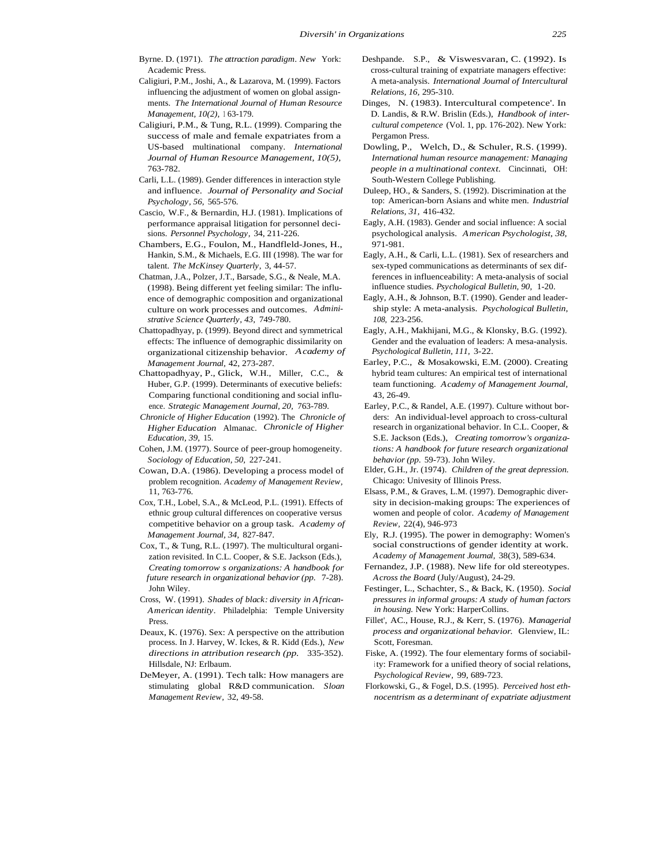- Byrne. D. (1971). *The attraction paradigm. New* York: Academic Press.
- Caligiuri, P.M., Joshi, A., & Lazarova, M. (1999). Factors influencing the adjustment of women on global assignments. *The International Journal of Human Resource Management, 10(2),* <sup>1</sup> 63-179.
- Caligiuri, P.M., & Tung, R.L. (1999). Comparing the success of male and female expatriates from a US-based multinational company. *International Journal of Human Resource Management, 10(5),* 763-782.
- Carli, L.L. (1989). Gender differences in interaction style and influence. *Journal of Personality and Social Psychology, 56,* 565-576.
- Cascio, W.F., & Bernardin, H.J. (1981). Implications of performance appraisal litigation for personnel decisions. *Personnel Psychology,* 34, 211-226.
- Chambers, E.G., Foulon, M., Handfleld-Jones, H., Hankin, S.M., & Michaels, E.G. III (1998). The war for talent. *The McKinsey Quarterly,* 3, 44-57.
- Chatman, J.A., Polzer, J.T., Barsade, S.G., & Neale, M.A. (1998). Being different yet feeling similar: The influence of demographic composition and organizational culture on work processes and outcomes. *Administrative Science Quarterly, 43,* 749-780.
- Chattopadhyay, p. (1999). Beyond direct and symmetrical effects: The influence of demographic dissimilarity on organizational citizenship behavior. *Academy of Management Journal,* 42, 273-287.
- Chattopadhyay, P., Glick, W.H., Miller, C.C., & Huber, G.P. (1999). Determinants of executive beliefs: Comparing functional conditioning and social influence. *Strategic Management Journal, 20,* 763-789.
- *Chronicle of Higher Education* (1992). The *Chronicle of Higher Education* Almanac. *Chronicle of Higher Education, 39,* 15.
- Cohen, J.M. (1977). Source of peer-group homogeneity. *Sociology of Education, 50,* 227-241.
- Cowan, D.A. (1986). Developing a process model of problem recognition. *Academy of Management Review,* 11, 763-776.
- Cox, T.H., Lobel, S.A., & McLeod, P.L. (1991). Effects of ethnic group cultural differences on cooperative versus competitive behavior on a group task. *Academy of Management Journal, 34,* 827-847.
- Cox, T., & Tung, R.L. (1997). The multicultural organization revisited. In C.L. Cooper, & S.E. Jackson (Eds.), *Creating tomorrow s organizations: A handbook for future research in organizational behavior (pp.* 7-28). John Wiley.
- Cross, W. (1991). *Shades of black: diversity in African-American identity.* Philadelphia: Temple University Press.
- Deaux, K. (1976). Sex: A perspective on the attribution process. In J. Harvey, W. Ickes, & R. Kidd (Eds.), *New directions in attribution research (pp.* 335-352). Hillsdale, NJ: Erlbaum.
- DeMeyer, A. (1991). Tech talk: How managers are stimulating global R&D communication. *Sloan Management Review,* 32, 49-58.
- Deshpande. S.P., & Viswesvaran, C. (1992). Is cross-cultural training of expatriate managers effective: A meta-analysis. *International Journal of Intercultural Relations, 16,* 295-310.
- Dinges, N. (1983). Intercultural competence'. In D. Landis, & R.W. Brislin (Eds.), *Handbook of intercultural competence* (Vol. 1, pp. 176-202). New York: Pergamon Press.
- Dowling, P., Welch, D., & Schuler, R.S. (1999). *International human resource management: Managing people in a multinational context.* Cincinnati, OH: South-Western College Publishing.
- Duleep, HO., & Sanders, S. (1992). Discrimination at the top: American-born Asians and white men. *Industrial Relations, 31,* 416-432.
- Eagly, A.H. (1983). Gender and social influence: A social psychological analysis. *American Psychologist, 38,* 971-981.
- Eagly, A.H., & Carli, L.L. (1981). Sex of researchers and sex-typed communications as determinants of sex differences in influenceability: A meta-analysis of social influence studies. *Psychological Bulletin, 90,* 1-20.
- Eagly, A.H., & Johnson, B.T. (1990). Gender and leadership style: A meta-analysis. *Psychological Bulletin, 108,* 223-256.
- Eagly, A.H., Makhijani, M.G., & Klonsky, B.G. (1992). Gender and the evaluation of leaders: A mesa-analysis. *Psychological Bulletin, 111,* 3-22.
- Earley, P.C., & Mosakowski, E.M. (2000). Creating hybrid team cultures: An empirical test of international team functioning. *Academy of Management Journal,* 43, 26-49.
- Earley, P.C., & Randel, A.E. (1997). Culture without borders: An individual-level approach to cross-cultural research in organizational behavior. In C.L. Cooper, & S.E. Jackson (Eds.), *Creating tomorrow's organizations: A handbook for future research organizational behavior (pp.* 59-73). John Wiley.
- Elder, G.H., Jr. (1974). *Children of the great depression.* Chicago: Univesity of Illinois Press.
- Elsass, P.M., & Graves, L.M. (1997). Demographic diversity in decision-making groups: The experiences of women and people of color. *Academy of Management Review,* 22(4), 946-973
- Ely, R.J. (1995). The power in demography: Women's social constructions of gender identity at work. *Academy of Management Journal,* 38(3), 589-634.
- Fernandez, J.P. (1988). New life for old stereotypes. *Across the Board* (July/August), 24-29.
- Festinger, L., Schachter, S., & Back, K. (1950). *Social pressures in informal groups: A study of human factors in housing.* New York: HarperCollins.
- Fillet', AC., House, R.J., & Kerr, S. (1976). *Managerial process and organizational behavior.* Glenview, IL: Scott, Foresman.
- Fiske, A. (1992). The four elementary forms of sociability: Framework for a unified theory of social relations, *Psychological Review,* 99, 689-723.
- Florkowski, G., & Fogel, D.S. (1995). *Perceived host ethnocentrism as a determinant of expatriate adjustment*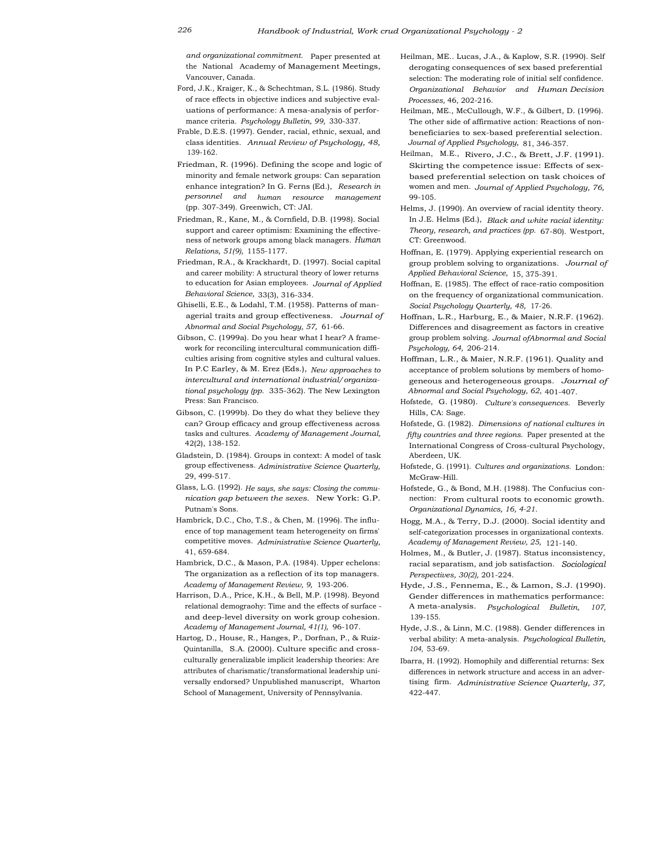*and organizational commitment.* Paper presented at the National Academy of Management Meetings, Vancouver, Canada.

- Ford, J.K., Kraiger, K., & Schechtman, S.L. (1986). Study of race effects in objective indices and subjective evaluations of performance: A mesa-analysis of performance criteria. *Psychology Bulletin, 99,* 330-337.
- Frable, D.E.S. (1997). Gender, racial, ethnic, sexual, and class identities. *Annual Review of Psychology, 48,* 139-162.
- Friedman, R. (1996). Defining the scope and logic of minority and female network groups: Can separation enhance integration? In G. Ferns (Ed.), *Research in personnel and human resource management* (pp. 307-349). Greenwich, CT: JAI.
- Friedman, R., Kane, M., & Cornfield, D.B. (1998). Social support and career optimism: Examining the effectiveness of network groups among black managers. *Human Relations, 51(9),* 1155-1177.
- Friedman, R.A., & Krackhardt, D. (1997). Social capital and career mobility: A structural theory of lower returns to education for Asian employees. *Journal of Applied Behavioral Science,* 33(3), 316-334.
- Ghiselli, E.E., & Lodahl, T.M. (1958). Patterns of managerial traits and group effectiveness. *Journal of Abnormal and Social Psychology, 57,* 61-66.
- Gibson, C. (1999a). Do you hear what I hear? A framework for reconciling intercultural communication difficulties arising from cognitive styles and cultural values. In P.C Earley, & M. Erez (Eds.), *New approaches to intercultural and international industrial/organizational psychology (pp.* 335-362). The New Lexington Press: San Francisco.
- Gibson, C. (1999b). Do they do what they believe they can? Group efficacy and group effectiveness across tasks and cultures. *Academy of Management Journal,* 42(2), 138-152.
- Gladstein, D. (1984). Groups in context: A model of task group effectiveness. *Administrative Science Quarterly,* 29, 499-517.
- Glass, L.G. (1992). *He says, she says: Closing the communication gap between the sexes.* New York: G.P. Putnam's Sons.
- Hambrick, D.C., Cho, T.S., & Chen, M. (1996). The influence of top management team heterogeneity on firms' competitive moves. *Administrative Science Quarterly,* 41, 659-684.
- Hambrick, D.C., & Mason, P.A. (1984). Upper echelons: The organization as a reflection of its top managers. *Academy of Management Review, 9,* 193-206.
- Harrison, D.A., Price, K.H., & Bell, M.P. (1998). Beyond relational demograohy: Time and the effects of surface and deep-level diversity on work group cohesion. *Academy of Management Journal, 41(1),* 96-107.
- Hartog, D., House, R., Hanges, P., Dorfnan, P., & Ruiz-Quintanilla, S.A. (2000). Culture specific and crossculturally generalizable implicit leadership theories: Are attributes of charismatic/transformational leadership universally endorsed? Unpublished manuscript, Wharton School of Management, University of Pennsylvania.
- Heilman, ME.. Lucas, J.A., & Kaplow, S.R. (1990). Self derogating consequences of sex based preferential selection: The moderating role of initial self confidence. *Organizational Behavior- and Human Decision Processes,* 46, 202-216.
- Heilman, ME., McCullough, W.F., & Gilbert, D. (1996). The other side of affirmative action: Reactions of nonbeneficiaries to sex-based preferential selection. *Journal of Applied Psychology,* 81, 346-357.
- Heilman, M.E., Rivero, J.C., & Brett, J.F. (1991). Skirting the competence issue: Effects of sexbased preferential selection on task choices of women and men. *Journal of Applied Psychology, 76,* 99-105.
- Helms, J. (1990). An overview of racial identity theory. In J.E. Helms (Ed.), *Black and white racial identity: Theory, research, and practices (pp.* 67-80). Westport, CT: Greenwood.
- Hoffnan, E. (1979). Applying experiential research on group problem solving to organizations. *Journal of Applied Behavioral Science,* 15, 375-391.
- Hoffnan, E. (1985). The effect of race-ratio composition on the frequency of organizational communication. *Social Psychology Quarterly, 48,* 17-26.
- Hoffnan, L.R., Harburg, E., & Maier, N.R.F. (1962). Differences and disagreement as factors in creative group problem solving. *Journal ofAbnormal and Social Psychology, 64,* 206-214.
- Hoffman, L.R., & Maier, N.R.F. (1961). Quality and acceptance of problem solutions by members of homogeneous and heterogeneous groups. *Journal of Abnormal and Social Psychology, 62,* 401-407.
- Hofstede, G. (1980). *Culture's consequences.* Beverly Hills, CA: Sage.
- Hofstede, G. (1982). *Dimensions of national cultures in fifty countries and three regions.* Paper presented at the International Congress of Cross-cultural Psychology, Aberdeen, UK.
- Hofstede, G. (1991). *Cultures and organizations.* London: McGraw-Hill.
- Hofstede, G., & Bond, M.H. (1988). The Confucius connection: From cultural roots to economic growth. *Organizational Dynamics, 16, 4-21.*
- Hogg, M.A., & Terry, D.J. (2000). Social identity and self-categorization processes in organizational contexts. *Academy of Management Review, 25,* 121-140.
- Holmes, M., & Butler, J. (1987). Status inconsistency, racial separatism, and job satisfaction. *Sociological Perspectives, 30(2),* 201-224.
- Hyde, J.S., Fennema, E., & Lamon, S.J. (1990). Gender differences in mathematics performance: A meta-analysis. *Psychological Bulletin, 107,* 139-155.
- Hyde, J.S., & Linn, M.C. (1988). Gender differences in verbal ability: A meta-analysis. *Psychological Bulletin, 104,* 53-69.
- Ibarra, H. (1992). Homophily and differential returns: Sex differences in network structure and access in an advertising firm. *Administrative Science Quarterly, 37,* 422-447.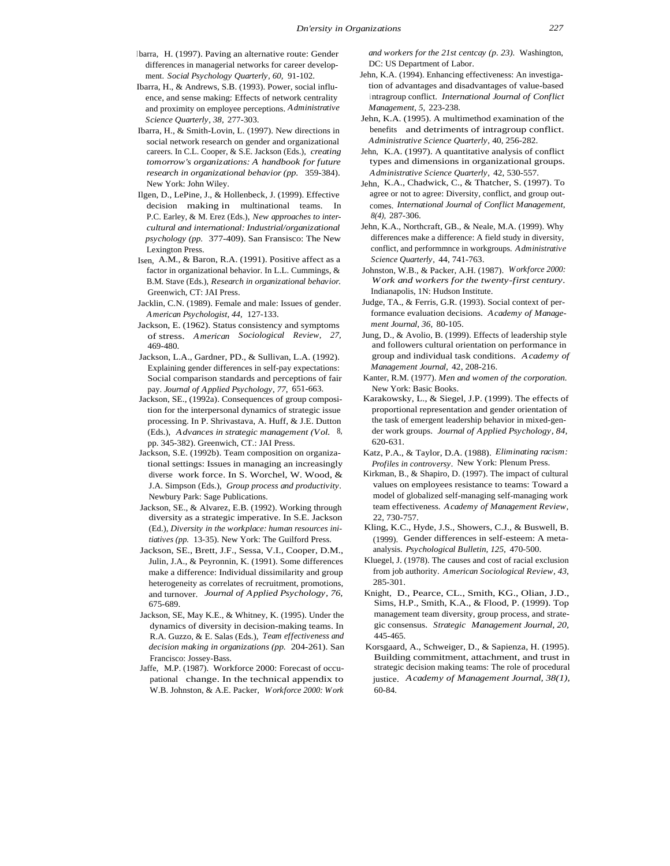- Ibarra, H. (1997). Paving an alternative route: Gender differences in managerial networks for career development. *Social Psychology Quarterly, 60,* 91-102.
- Ibarra, H., & Andrews, S.B. (1993). Power, social influence, and sense making: Effects of network centrality and proximity on employee perceptions. *Administrative Science Quarterly, 38,* 277-303.
- Ibarra, H., & Smith-Lovin, L. (1997). New directions in social network research on gender and organizational careers. In C.L. Cooper, & S.E. Jackson (Eds.), *creating tomorrow's organizations: A handbook for future research in organizational behavior (pp.* 359-384). New York: John Wiley.
- Ilgen, D., LePine, J., & Hollenbeck, J. (1999). Effective decision making in multinational teams. In P.C. Earley, & M. Erez (Eds.), *New approaches to intercultural and international: Industrial/organizational psychology (pp.* 377-409). San Fransisco: The New Lexington Press.
- Isen, A.M., & Baron, R.A. (1991). Positive affect as a factor in organizational behavior. In L.L. Cummings, & B.M. Stave (Eds.), *Research in organizational behavior.* Greenwich, CT: JAI Press.
- Jacklin, C.N. (1989). Female and male: Issues of gender. *American Psychologist, 44,* 127-133.
- Jackson, E. (1962). Status consistency and symptoms of stress. *American Sociological Review, 27,* 469-480.
- Jackson, L.A., Gardner, PD., & Sullivan, L.A. (1992). Explaining gender differences in self-pay expectations: Social comparison standards and perceptions of fair pay. *Journal of Applied Psychology, 77,* 651-663.
- Jackson, SE., (1992a). Consequences of group composition for the interpersonal dynamics of strategic issue processing. In P. Shrivastava, A. Huff, & J.E. Dutton (Eds.), *Advances in strategic management (Vol.* 8, pp. 345-382). Greenwich, CT.: JAI Press.
- Jackson, S.E. (1992b). Team composition on organizational settings: Issues in managing an increasingly diverse work force. In S. Worchel, W. Wood, & J.A. Simpson (Eds.), *Group process and productivity.* Newbury Park: Sage Publications.
- Jackson, SE., & Alvarez, E.B. (1992). Working through diversity as a strategic imperative. In S.E. Jackson (Ed.), *Diversity in the workplace: human resources initiatives (pp.* 13-35). New York: The Guilford Press.
- Jackson, SE., Brett, J.F., Sessa, V.I., Cooper, D.M., Julin, J.A., & Peyronnin, K. (1991). Some differences make a difference: Individual dissimilarity and group heterogeneity as correlates of recruitment, promotions, and turnover. *Journal of Applied Psychology, 76,* 675-689.
- Jackson, SE, May K.E., & Whitney, K. (1995). Under the dynamics of diversity in decision-making teams. In R.A. Guzzo, & E. Salas (Eds.), *Team effectiveness and decision making in organizations (pp.* 204-261). San Francisco: Jossey-Bass.
- Jaffe, M.P. (1987). Workforce 2000: Forecast of occupational change. In the technical appendix to W.B. Johnston, & A.E. Packer, *Workforce 2000: Work*

*and workers for the 21st centcay (p. 23).* Washington, DC: US Department of Labor.

- Jehn, K.A. (1994). Enhancing effectiveness: An investigation of advantages and disadvantages of value-based <sup>i</sup> ntragroup conflict. *International Journal of Conflict Management, 5,* 223-238.
- Jehn, K.A. (1995). A multimethod examination of the benefits and detriments of intragroup conflict. *Administrative Science Quarterly,* 40, 256-282.
- Jehn, K.A. (1997). A quantitative analysis of conflict types and dimensions in organizational groups. *Administrative Science Quarterly,* 42, 530-557.
- Jehn, K.A., Chadwick, C., & Thatcher, S. (1997). To agree or not to agree: Diversity, conflict, and group outcomes. *International Journal of Conflict Management, 8(4),* 287-306.
- Jehn, K.A., Northcraft, GB., & Neale, M.A. (1999). Why differences make a difference: A field study in diversity, conflict, and performmnce in workgroups. *Administrative Science Quarterly,* 44, 741-763.
- Johnston, W.B., & Packer, A.H. (1987). *Workforce 2000: Work and workers for the twenty-first century.* Indianapolis, 1N: Hudson Institute.
- Judge, TA., & Ferris, G.R. (1993). Social context of performance evaluation decisions. *Academy of Management Journal, 36,* 80-105.
- Jung, D., & Avolio, B. (1999). Effects of leadership style and followers cultural orientation on performance in group and individual task conditions. *Academy of Management Journal,* 42, 208-216.
- Kanter, R.M. (1977). *Men and women of the corporation.* New York: Basic Books.
- Karakowsky, L., & Siegel, J.P. (1999). The effects of proportional representation and gender orientation of the task of emergent leadership behavior in mixed-gender work groups. *Journal of Applied Psychology, 84,* 620-631.
- Katz, P.A., & Taylor, D.A. (1988). *Eliminating racism: Profiles in controversy.* New York: Plenum Press.
- Kirkman, B., & Shapiro, D. (1997). The impact of cultural values on employees resistance to teams: Toward a model of globalized self-managing self-managing work team effectiveness. *Academy of Management Review,* 22, 730-757.
- Kling, K.C., Hyde, J.S., Showers, C.J., & Buswell, B. (1999). Gender differences in self-esteem: A metaanalysis. *Psychological Bulletin, 125,* 470-500.
- Kluegel, J. (1978). The causes and cost of racial exclusion from job authority. *American Sociological Review, 43,* 285-301.
- Knight, D., Pearce, CL., Smith, KG., Olian, J.D., Sims, H.P., Smith, K.A., & Flood, P. (1999). Top management team diversity, group process, and strategic consensus. *Strategic Management Journal, 20,* 445-465.
- Korsgaard, A., Schweiger, D., & Sapienza, H. (1995). Building commitment, attachment, and trust in strategic decision making teams: The role of procedural justice. *Academy of Management Journal, 38(1),* 60-84.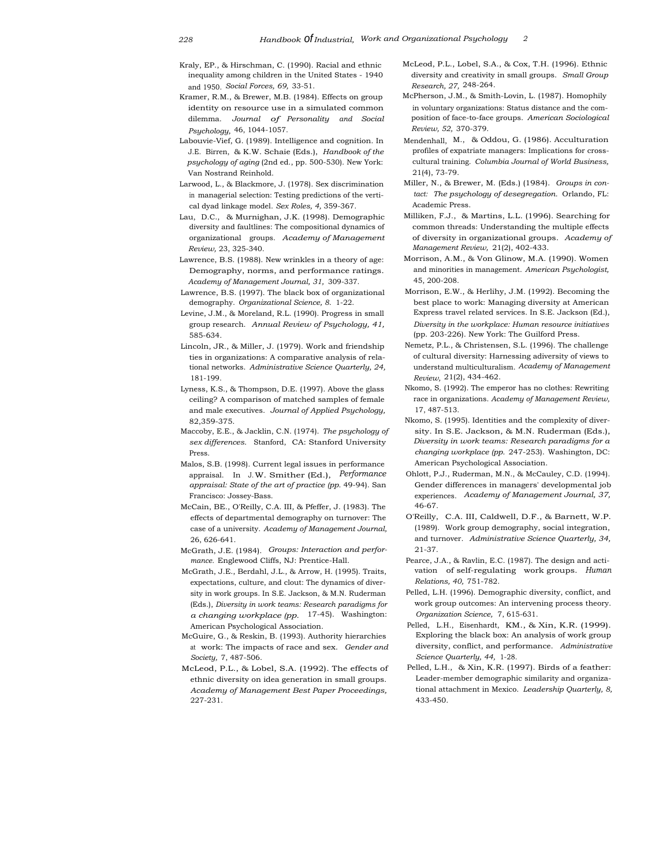- Kraly, EP., & Hirschman, C. (1990). Racial and ethnic inequality among children in the United States - 1940 and 1950. *Social Forces, 69,* 33-51.
- Kramer, R.M., & Brewer, M.B. (1984). Effects on group identity on resource use in a simulated common dilemma. *Journal of Personality and Social Psychology,* 46, 1044-1057.
- Labouvie-Vief, G. (1989). Intelligence and cognition. In J.E. Birren, & K.W. Schaie (Eds.), *Handbook of the psychology of aging* (2nd ed., pp. 500-530). New York: Van Nostrand Reinhold.
- Larwood, L., & Blackmore, J. (1978). Sex discrimination in managerial selection: Testing predictions of the vertical dyad linkage model. *Sex Roles, 4,* 359-367.
- Lau, D.C., & Murnighan, J.K. (1998). Demographic diversity and faultlines: The compositional dynamics of organizational groups. *Academy of Management Review,* 23, 325-340.
- Lawrence, B.S. (1988). New wrinkles in a theory of age: Demography, norms, and performance ratings. *Academy of Management Journal, 31,* 309-337.
- Lawrence, B.S. (1997). The black box of organizational demography. *Organizational Science, 8.* 1-22.
- Levine, J.M., & Moreland, R.L. (1990). Progress in small group research. *Annual Review of Psychology, 41,* 585-634.
- Lincoln, JR., & Miller, J. (1979). Work and friendship ties in organizations: A comparative analysis of relational networks. *Administrative Science Quarterly, 24,* 181-199.
- Lyness, K.S., & Thompson, D.E. (1997). Above the glass ceiling? A comparison of matched samples of female and male executives. *Journal of Applied Psychology,* 82,359-375.
- Maccoby, E.E., & Jacklin, C.N. (1974). *The psychology of sex differences.* Stanford, CA: Stanford University Press.
- Malos, S.B. (1998). Current legal issues in performance appraisal. In J.W. Smither (Ed.), *Performance appraisal: State of the art of practice (pp.* 49-94). San Francisco: Jossey-Bass.
- McCain, BE., O'Reilly, C.A. III, & Pfeffer, J. (1983). The effects of departmental demography on turnover: The case of a university. *Academy of Management Journal,* 26, 626-641.
- McGrath, J.E. (1984). *Groups: Interaction and performance.* Englewood Cliffs, NJ: Prentice-Hall.
- McGrath, J.E., Berdahl, J.L., & Arrow, H. (1995). Traits, expectations, culture, and clout: The dynamics of diversity in work groups. In S.E. Jackson, & M.N. Ruderman (Eds.), *Diversity in work teams: Research paradigms for a changing workplace (pp.* 17-45). Washington: American Psychological Association.
- McGuire, G., & Reskin, B. (1993). Authority hierarchies at work: The impacts of race and sex. *Gender and Society,* 7, 487-506.
- McLeod, P.L., & Lobel, S.A. (1992). The effects of ethnic diversity on idea generation in small groups. *Academy of Management Best Paper Proceedings,* 227-231.
- McLeod, P.L., Lobel, S.A., & Cox, T.H. (1996). Ethnic diversity and creativity in small groups. *Small Group Research, 27,* 248-264.
- McPherson, J.M., & Smith-Lovin, L. (1987). Homophily in voluntary organizations: Status distance and the composition of face-to-face groups. *American Sociological Review, 52,* 370-379.
- Mendenhall, M., & Oddou, G. (1986). Acculturation profiles of expatriate managers: Implications for crosscultural training. *Columbia Journal of World Business,* 21(4), 73-79.
- Miller, N., & Brewer, M. (Eds.) (1984). *Groups in contact: The psychology of desegregation.* Orlando, FL: Academic Press.
- Milliken, F.J., & Martins, L.L. (1996). Searching for common threads: Understanding the multiple effects of diversity in organizational groups. *Academy of Management Review,* 21(2), 402-433.
- Morrison, A.M., & Von Glinow, M.A. (1990). Women and minorities in management. *American Psychologist,* 45, 200-208.
- Morrison, E.W., & Herlihy, J.M. (1992). Becoming the best place to work: Managing diversity at American Express travel related services. In S.E. Jackson (Ed.), *Diversity in the workplace: Human resource initiatives* (pp. 203-226). New York: The Guilford Press.
- Nemetz, P.L., & Christensen, S.L. (1996). The challenge of cultural diversity: Harnessing adiversity of views to understand multiculturalism. *Academy of Management Review,* 21(2), 434-462.
- Nkomo, S. (1992). The emperor has no clothes: Rewriting race in organizations. *Academy of Management Review,* 17, 487-513.
- Nkomo, S. (1995). Identities and the complexity of diversity. In S.E. Jackson, & M.N. Ruderman (Eds.), *Diversity in work teams: Research paradigms for a changing workplace (pp.* 247-253). Washington, DC: American Psychological Association.
- Ohlott, P.J., Ruderman, M.N., & McCauley, C.D. (1994). Gender differences in managers' developmental job experiences. *Academy of Management Journal, 37,* 46-67.
- O'Reilly, C.A. III, Caldwell, D.F., & Barnett, W.P. (1989). Work group demography, social integration, and turnover. *Administrative Science Quarterly, 34,* 21-37.
- Pearce, J.A., & Ravlin, E.C. (1987). The design and activation of self-regulating work groups. *Human Relations, 40,* 751-782.
- Pelled, L.H. (1996). Demographic diversity, conflict, and work group outcomes: An intervening process theory. *Organization Science,* 7, 615-631.
- Pelled, L.H., Eisenhardt, KM., & Xin, K.R. (1999). Exploring the black box: An analysis of work group diversity, conflict, and performance. *Administrative Science Quarterly, 44,* 1-28.
- Pelled, L.H., & Xin, K.R. (1997). Birds of a feather: Leader-member demographic similarity and organizational attachment in Mexico. *Leadership Quarterly, 8,* 433-450.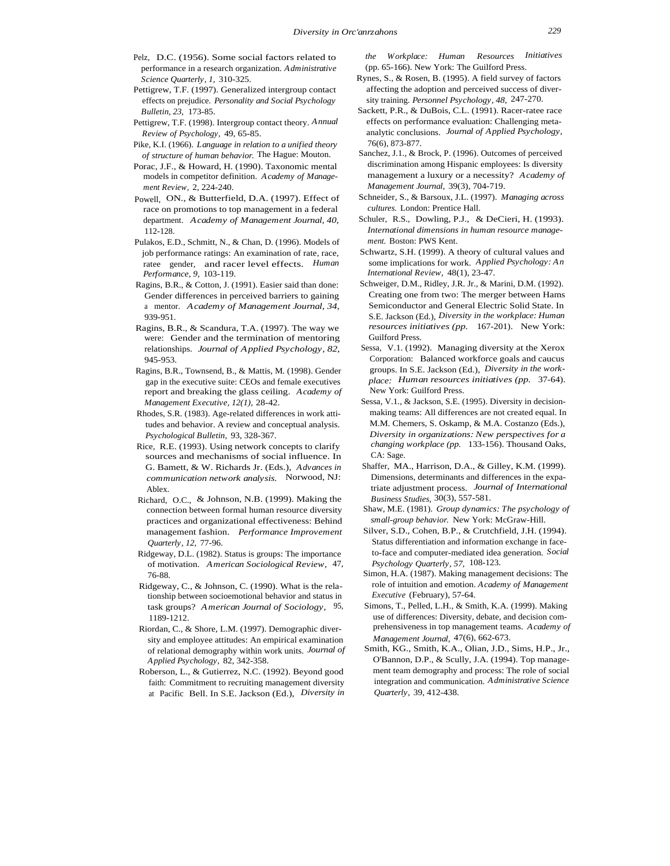- Pelz, D.C. (1956). Some social factors related to performance in a research organization. *Administrative Science Quarterly, 1,* 310-325.
- Pettigrew, T.F. (1997). Generalized intergroup contact effects on prejudice. *Personality and Social Psychology Bulletin, 23,* 173-85.
- Pettigrew, T.F. (1998). Intergroup contact theory. *Annual Review of Psychology,* 49, 65-85.
- Pike, K.I. (1966). *Language in relation to a unified theory of structure of human behavior.* The Hague: Mouton.
- Porac, J.F., & Howard, H. (1990). Taxonomic mental models in competitor definition. *Academy of Management Review,* 2, 224-240.
- Powell, ON., & Butterfield, D.A. (1997). Effect of race on promotions to top management in a federal department. *Academy of Management Journal, 40,* 112-128.
- Pulakos, E.D., Schmitt, N., & Chan, D. (1996). Models of job performance ratings: An examination of rate, race, ratee gender, and racer level effects. *Human Performance, 9,* 103-119.
- Ragins, B.R., & Cotton, J. (1991). Easier said than done: Gender differences in perceived barriers to gaining a mentor. *Academy of Management Journal, 34,* 939-951.
- Ragins, B.R., & Scandura, T.A. (1997). The way we were: Gender and the termination of mentoring relationships. *Journal of Applied Psychology, 82,* 945-953.
- Ragins, B.R., Townsend, B., & Mattis, M. (1998). Gender gap in the executive suite: CEOs and female executives report and breaking the glass ceiling. *Academy of Management Executive, 12(1),* 28-42.
- Rhodes, S.R. (1983). Age-related differences in work attitudes and behavior. A review and conceptual analysis. *Psychological Bulletin,* 93, 328-367.
- Rice, R.E. (1993). Using network concepts to clarify sources and mechanisms of social influence. In G. Bamett, & W. Richards Jr. (Eds.), *Advances in communication network analysis.* Norwood, NJ: Ablex.
- Richard, O.C., & Johnson, N.B. (1999). Making the connection between formal human resource diversity practices and organizational effectiveness: Behind management fashion. *Performance Improvement Quarterly, 12,* 77-96.
- Ridgeway, D.L. (1982). Status is groups: The importance of motivation. *American Sociological Review,* 47, 76-88.
- Ridgeway, C., & Johnson, C. (1990). What is the relationship between socioemotional behavior and status in task groups? *American Journal of Sociology,* 95, 1189-1212.
- Riordan, C., & Shore, L.M. (1997). Demographic diversity and employee attitudes: An empirical examination of relational demography within work units. *Journal of Applied Psychology,* 82, 342-358.
- Roberson, L., & Gutierrez, N.C. (1992). Beyond good faith: Commitment to recruiting management diversity at Pacific Bell. In S.E. Jackson (Ed.), *Diversity in*

*the Workplace: Human Resources Initiatives* (pp. 65-166). New York: The Guilford Press.

- Rynes, S., & Rosen, B. (1995). A field survey of factors affecting the adoption and perceived success of diversity training. *Personnel Psychology, 48,* 247-270.
- Sackett, P.R., & DuBois, C.L. (1991). Racer-ratee race effects on performance evaluation: Challenging metaanalytic conclusions. *Journal of Applied Psychology,* 76(6), 873-877.
- Sanchez, J.1., & Brock, P. (1996). Outcomes of perceived discrimination among Hispanic employees: Is diversity management a luxury or a necessity? *Academy of Management Journal,* 39(3), 704-719.
- Schneider, S., & Barsoux, J.L. (1997). *Managing across cultures.* London: Prentice Hall.
- Schuler, R.S., Dowling, P.J., & DeCieri, H. (1993). *International dimensions in human resource management.* Boston: PWS Kent.
- Schwartz, S.H. (1999). A theory of cultural values and some implications for work. *Applied Psychology: An International Review,* 48(1), 23-47.
- Schweiger, D.M., Ridley, J.R. Jr., & Marini, D.M. (1992). Creating one from two: The merger between Hams Semiconductor and General Electric Solid State. In S.E. Jackson (Ed.), *Diversity in the workplace: Human resources initiatives (pp.* 167-201). New York: Guilford Press.
- Sessa, V.1. (1992). Managing diversity at the Xerox Corporation: Balanced workforce goals and caucus groups. In S.E. Jackson (Ed.), *Diversity in the workplace: Human resources initiatives (pp.* 37-64). New York: Guilford Press.
- Sessa, V.1., & Jackson, S.E. (1995). Diversity in decisionmaking teams: All differences are not created equal. In M.M. Chemers, S. Oskamp, & M.A. Costanzo (Eds.), *Diversity in organizations: New perspectives for a changing workplace (pp.* 133-156). Thousand Oaks, CA: Sage.
- Shaffer, MA., Harrison, D.A., & Gilley, K.M. (1999). Dimensions, determinants and differences in the expatriate adjustment process. *Journal of International Business Studies,* 30(3), 557-581.
- Shaw, M.E. (1981). *Group dynamics: The psychology of small-group behavior.* New York: McGraw-Hill.
- Silver, S.D., Cohen, B.P., & Crutchfield, J.H. (1994). Status differentiation and information exchange in faceto-face and computer-mediated idea generation. *Social Psychology Quarterly, 57,* 108-123.
- Simon, H.A. (1987). Making management decisions: The role of intuition and emotion. *Academy of Management Executive* (February), 57-64.
- Simons, T., Pelled, L.H., & Smith, K.A. (1999). Making use of differences: Diversity, debate, and decision comprehensiveness in top management teams. *Academy of Management Journal,* 47(6), 662-673.
- Smith, KG., Smith, K.A., Olian, J.D., Sims, H.P., Jr., O'Bannon, D.P., & Scully, J.A. (1994). Top management team demography and process: The role of social integration and communication. *Administrative Science Quarterly,* 39, 412-438.